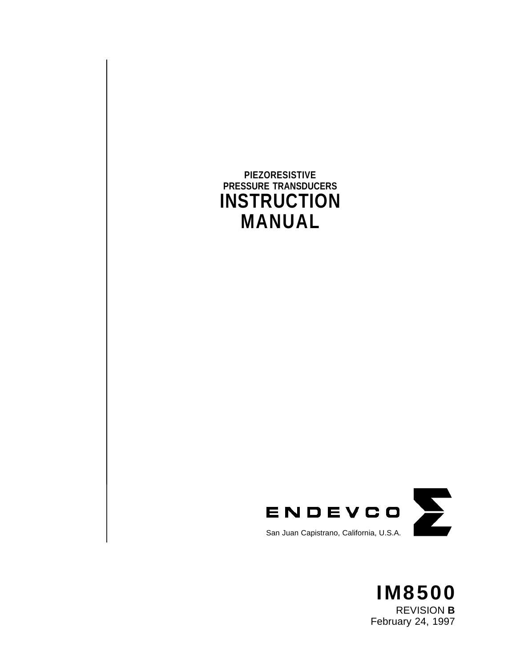## **PIEZORESISTIVE PRESSURE TRANSDUCERS INSTRUCTION MANUAL**



San Juan Capistrano, California, U.S.A.

**IM8500** REVISION **B** February 24, 1997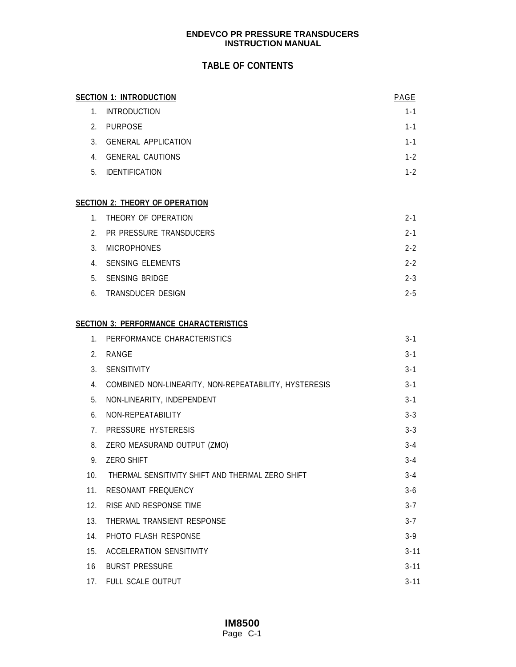## **TABLE OF CONTENTS**

|     | <b>SECTION 1: INTRODUCTION</b>                        | PAGE     |
|-----|-------------------------------------------------------|----------|
|     | 1. INTRODUCTION                                       | $1 - 1$  |
|     | 2. PURPOSE                                            | $1 - 1$  |
|     | 3. GENERAL APPLICATION                                | $1 - 1$  |
|     | 4. GENERAL CAUTIONS                                   | $1 - 2$  |
|     | 5. IDENTIFICATION                                     | $1 - 2$  |
|     | <b>SECTION 2: THEORY OF OPERATION</b>                 |          |
|     | 1. THEORY OF OPERATION                                | $2 - 1$  |
|     | 2. PR PRESSURE TRANSDUCERS                            | $2 - 1$  |
| 3.  | <b>MICROPHONES</b>                                    | $2 - 2$  |
|     | 4. SENSING ELEMENTS                                   | $2 - 2$  |
|     | 5. SENSING BRIDGE                                     | $2 - 3$  |
|     | 6. TRANSDUCER DESIGN                                  | $2 - 5$  |
|     | <b>SECTION 3: PERFORMANCE CHARACTERISTICS</b>         |          |
|     | 1. PERFORMANCE CHARACTERISTICS                        | $3 - 1$  |
|     | 2. RANGE                                              | $3 - 1$  |
|     | 3. SENSITIVITY                                        | $3 - 1$  |
| 4.  | COMBINED NON-LINEARITY, NON-REPEATABILITY, HYSTERESIS | $3 - 1$  |
| 5.  | NON-LINEARITY, INDEPENDENT                            | $3 - 1$  |
| 6.  | NON-REPEATABILITY                                     | $3 - 3$  |
|     | 7. PRESSURE HYSTERESIS                                | $3 - 3$  |
| 8.  | ZERO MEASURAND OUTPUT (ZMO)                           | $3 - 4$  |
| 9.  | <b>ZERO SHIFT</b>                                     | $3 - 4$  |
| 10. | THERMAL SENSITIVITY SHIFT AND THERMAL ZERO SHIFT      | 3-4      |
| 11. | RESONANT FREQUENCY                                    | $3 - 6$  |
| 12. | RISE AND RESPONSE TIME                                | $3 - 7$  |
| 13. | THERMAL TRANSIENT RESPONSE                            | $3 - 7$  |
| 14. | PHOTO FLASH RESPONSE                                  | $3 - 9$  |
| 15. | <b>ACCELERATION SENSITIVITY</b>                       | $3 - 11$ |
| 16  | <b>BURST PRESSURE</b>                                 | $3 - 11$ |
|     | 17. FULL SCALE OUTPUT                                 | $3 - 11$ |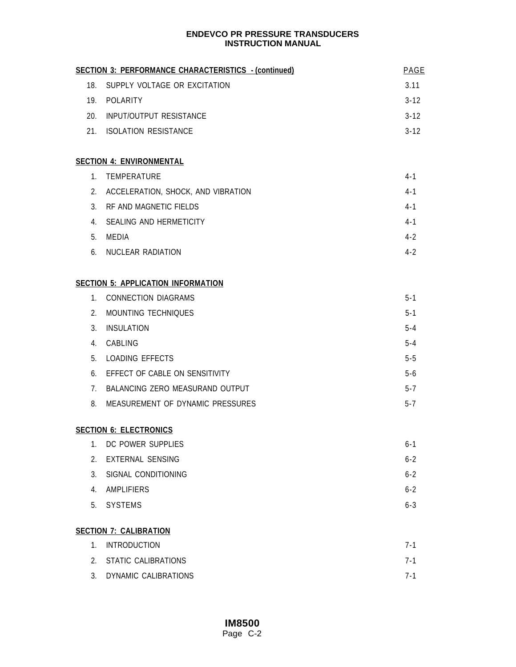| <b>SECTION 3: PERFORMANCE CHARACTERISTICS - (continued)</b><br>PAGE |                                           |          |  |  |  |  |  |
|---------------------------------------------------------------------|-------------------------------------------|----------|--|--|--|--|--|
| 18.                                                                 | SUPPLY VOLTAGE OR EXCITATION              | 3.11     |  |  |  |  |  |
| 19.                                                                 | POLARITY                                  | $3 - 12$ |  |  |  |  |  |
| 20.                                                                 | INPUT/OUTPUT RESISTANCE                   | $3 - 12$ |  |  |  |  |  |
|                                                                     | 21. ISOLATION RESISTANCE                  |          |  |  |  |  |  |
|                                                                     | <b>SECTION 4: ENVIRONMENTAL</b>           |          |  |  |  |  |  |
|                                                                     | 1. TEMPERATURE                            | $4 - 1$  |  |  |  |  |  |
| 2.                                                                  | ACCELERATION, SHOCK, AND VIBRATION        | $4 - 1$  |  |  |  |  |  |
| 3.                                                                  | RF AND MAGNETIC FIELDS                    |          |  |  |  |  |  |
|                                                                     | 4. SEALING AND HERMETICITY                |          |  |  |  |  |  |
| 5.                                                                  | MEDIA                                     | $4 - 2$  |  |  |  |  |  |
| 6.                                                                  | NUCLEAR RADIATION                         | $4 - 2$  |  |  |  |  |  |
|                                                                     | <b>SECTION 5: APPLICATION INFORMATION</b> |          |  |  |  |  |  |
|                                                                     | 1. CONNECTION DIAGRAMS                    | $5 - 1$  |  |  |  |  |  |
| 2 <sub>1</sub>                                                      | MOUNTING TECHNIQUES                       | $5 - 1$  |  |  |  |  |  |
| 3.                                                                  | INSULATION                                | $5 - 4$  |  |  |  |  |  |
|                                                                     | 4. CABLING                                | $5 - 4$  |  |  |  |  |  |
| 5.                                                                  | <b>LOADING EFFECTS</b>                    | $5 - 5$  |  |  |  |  |  |
| 6.                                                                  | EFFECT OF CABLE ON SENSITIVITY            | $5-6$    |  |  |  |  |  |
|                                                                     | 7. BALANCING ZERO MEASURAND OUTPUT        | $5 - 7$  |  |  |  |  |  |
| 8.                                                                  | MEASUREMENT OF DYNAMIC PRESSURES          |          |  |  |  |  |  |
|                                                                     | <b>SECTION 6: ELECTRONICS</b>             |          |  |  |  |  |  |
| 1 <sub>1</sub>                                                      | DC POWER SUPPLIES                         | $6 - 1$  |  |  |  |  |  |
| 2.                                                                  | <b>EXTERNAL SENSING</b>                   | $6 - 2$  |  |  |  |  |  |
| 3.                                                                  | SIGNAL CONDITIONING                       | $6 - 2$  |  |  |  |  |  |
| 4.                                                                  | <b>AMPLIFIERS</b>                         | $6 - 2$  |  |  |  |  |  |
| 5.                                                                  | <b>SYSTEMS</b>                            | $6 - 3$  |  |  |  |  |  |
|                                                                     | <b>SECTION 7: CALIBRATION</b>             |          |  |  |  |  |  |
| 1.                                                                  | <b>INTRODUCTION</b>                       | $7 - 1$  |  |  |  |  |  |
| 2.                                                                  | <b>STATIC CALIBRATIONS</b>                | $7 - 1$  |  |  |  |  |  |
| 3.                                                                  | <b>DYNAMIC CALIBRATIONS</b>               | $7 - 1$  |  |  |  |  |  |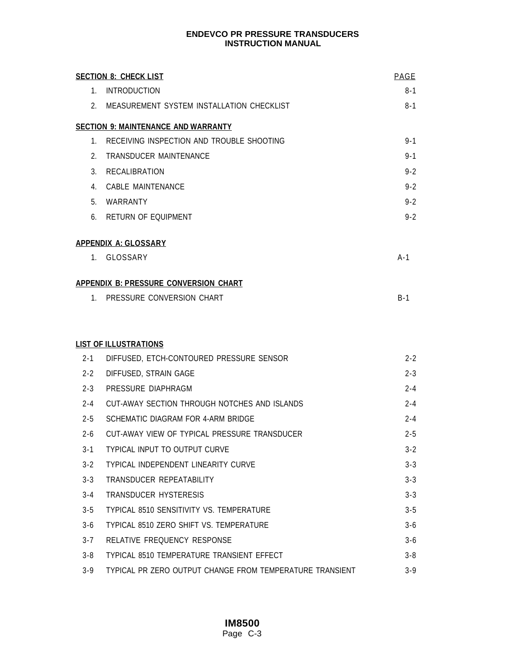|                | <b>SECTION 8: CHECK LIST</b>                             | PAGE    |
|----------------|----------------------------------------------------------|---------|
|                | 1. INTRODUCTION                                          | $8 - 1$ |
|                | 2. MEASUREMENT SYSTEM INSTALLATION CHECKLIST             | $8 - 1$ |
|                | <b>SECTION 9: MAINTENANCE AND WARRANTY</b>               |         |
| $1_{-}$        | RECEIVING INSPECTION AND TROUBLE SHOOTING                | $9 - 1$ |
| 2.             | <b>TRANSDUCER MAINTENANCE</b>                            | $9 - 1$ |
| 3.             | RECALIBRATION                                            | $9 - 2$ |
| 4.             | <b>CABLE MAINTENANCE</b>                                 | $9 - 2$ |
| 5 <sub>1</sub> | WARRANTY                                                 | $9 - 2$ |
| 6.             | RETURN OF EQUIPMENT                                      | $9 - 2$ |
|                | <b>APPENDIX A: GLOSSARY</b>                              |         |
|                | 1. GLOSSARY                                              | $A-1$   |
|                | <b>APPENDIX B: PRESSURE CONVERSION CHART</b>             |         |
|                | 1. PRESSURE CONVERSION CHART                             | $B-1$   |
|                |                                                          |         |
|                | <b>LIST OF ILLUSTRATIONS</b>                             |         |
| $2 - 1$        | DIFFUSED, ETCH-CONTOURED PRESSURE SENSOR                 | $2 - 2$ |
| $2 - 2$        | DIFFUSED, STRAIN GAGE                                    | $2 - 3$ |
| $2 - 3$        | PRESSURE DIAPHRAGM                                       | $2 - 4$ |
| $2 - 4$        | CUT-AWAY SECTION THROUGH NOTCHES AND ISLANDS             | $2 - 4$ |
| $2 - 5$        | SCHEMATIC DIAGRAM FOR 4-ARM BRIDGE                       | $2 - 4$ |
| $2 - 6$        | CUT-AWAY VIEW OF TYPICAL PRESSURE TRANSDUCER             | $2 - 5$ |
| $3 - 1$        | TYPICAL INPUT TO OUTPUT CURVE                            | $3 - 2$ |
| $3 - 2$        | TYPICAL INDEPENDENT LINEARITY CURVE                      | $3 - 3$ |
| $3 - 3$        | TRANSDUCER REPEATABILITY                                 | $3 - 3$ |
| $3 - 4$        | <b>TRANSDUCER HYSTERESIS</b>                             | $3 - 3$ |
| $3 - 5$        | <b>TYPICAL 8510 SENSITIVITY VS. TEMPERATURE</b>          | $3 - 5$ |
| $3-6$          | TYPICAL 8510 ZERO SHIFT VS. TEMPERATURE                  | $3 - 6$ |
| $3 - 7$        | RELATIVE FREQUENCY RESPONSE                              | $3 - 6$ |
| $3 - 8$        | TYPICAL 8510 TEMPERATURE TRANSIENT EFFECT                | $3 - 8$ |
| $3 - 9$        | TYPICAL PR ZERO OUTPUT CHANGE FROM TEMPERATURE TRANSIENT | $3 - 9$ |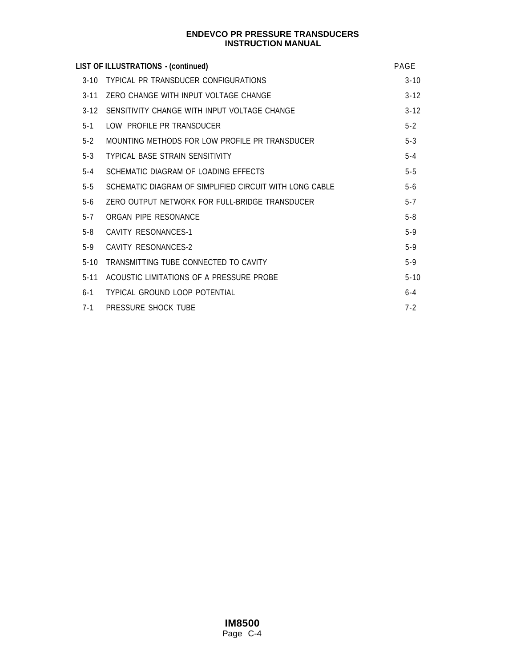|          | LIST OF ILLUSTRATIONS - (continued)                     | PAGE     |
|----------|---------------------------------------------------------|----------|
| $3 - 10$ | TYPICAL PR TRANSDUCER CONFIGURATIONS                    | $3 - 10$ |
| $3 - 11$ | ZERO CHANGE WITH INPUT VOLTAGE CHANGE                   | $3 - 12$ |
| $3 - 12$ | SENSITIVITY CHANGE WITH INPUT VOLTAGE CHANGE            | $3 - 12$ |
| $5 - 1$  | LOW PROFILE PR TRANSDUCER                               | $5 - 2$  |
| $5 - 2$  | MOUNTING METHODS FOR LOW PROFILE PR TRANSDUCER          | $5 - 3$  |
| $5 - 3$  | <b>TYPICAL BASE STRAIN SENSITIVITY</b>                  | $5 - 4$  |
| $5 - 4$  | SCHEMATIC DIAGRAM OF LOADING EFFECTS                    | $5 - 5$  |
| $5 - 5$  | SCHEMATIC DIAGRAM OF SIMPLIFIED CIRCUIT WITH LONG CABLE | $5-6$    |
| $5-6$    | ZERO OUTPUT NETWORK FOR FULL-BRIDGE TRANSDUCER          | $5 - 7$  |
| $5 - 7$  | ORGAN PIPE RESONANCE                                    | $5 - 8$  |
| $5 - 8$  | CAVITY RESONANCES-1                                     | $5-9$    |
| $5-9$    | CAVITY RESONANCES-2                                     | $5 - 9$  |
| $5 - 10$ | TRANSMITTING TUBE CONNECTED TO CAVITY                   | $5 - 9$  |
| $5 - 11$ | ACOUSTIC LIMITATIONS OF A PRESSURE PROBE                | $5 - 10$ |
| $6 - 1$  | TYPICAL GROUND LOOP POTENTIAL                           | $6 - 4$  |
| $7 - 1$  | PRESSURE SHOCK TUBE                                     | $7 - 2$  |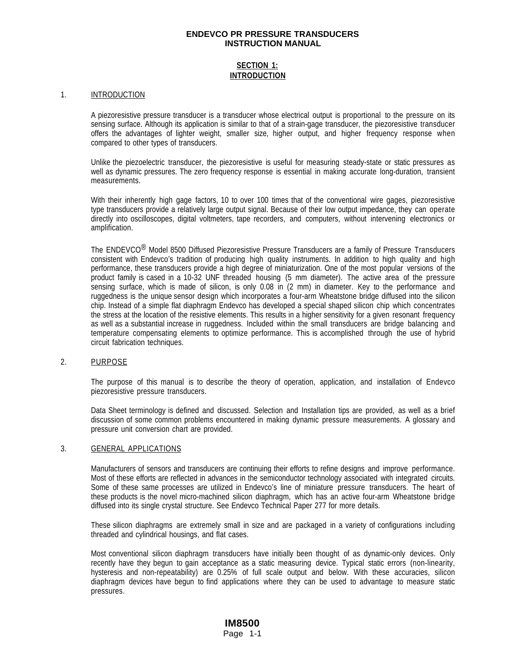## **SECTION 1: INTRODUCTION**

#### 1. **INTRODUCTION**

A piezoresistive pressure transducer is a transducer whose electrical output is proportional to the pressure on its sensing surface. Although its application is similar to that of a strain-gage transducer, the piezoresistive transducer offers the advantages of lighter weight, smaller size, higher output, and higher frequency response when compared to other types of transducers.

Unlike the piezoelectric transducer, the piezoresistive is useful for measuring steady-state or static pressures as well as dynamic pressures. The zero frequency response is essential in making accurate long-duration, transient measurements.

With their inherently high gage factors, 10 to over 100 times that of the conventional wire gages, piezoresistive type transducers provide a relatively large output signal. Because of their low output impedance, they can operate directly into oscilloscopes, digital voltmeters, tape recorders, and computers, without intervening electronics or amplification.

The ENDEVCO® Model 8500 Diffused Piezoresistive Pressure Transducers are a family of Pressure Transducers consistent with Endevco's tradition of producing high quality instruments. In addition to high quality and high performance, these transducers provide a high degree of miniaturization. One of the most popular versions of the product family is cased in a 10-32 UNF threaded housing (5 mm diameter). The active area of the pressure sensing surface, which is made of silicon, is only 0.08 in (2 mm) in diameter. Key to the performance and ruggedness is the unique sensor design which incorporates a four-arm Wheatstone bridge diffused into the silicon chip. Instead of a simple flat diaphragm Endevco has developed a special shaped silicon chip which concentrates the stress at the location of the resistive elements. This results in a higher sensitivity for a given resonant frequency as well as a substantial increase in ruggedness. Included within the small transducers are bridge balancing and temperature compensating elements to optimize performance. This is accomplished through the use of hybrid circuit fabrication techniques.

## 2. PURPOSE

The purpose of this manual is to describe the theory of operation, application, and installation of Endevco piezoresistive pressure transducers.

Data Sheet terminology is defined and discussed. Selection and Installation tips are provided, as well as a brief discussion of some common problems encountered in making dynamic pressure measurements. A glossary and pressure unit conversion chart are provided.

#### 3. GENERAL APPLICATIONS

Manufacturers of sensors and transducers are continuing their efforts to refine designs and improve performance. Most of these efforts are reflected in advances in the semiconductor technology associated with integrated circuits. Some of these same processes are utilized in Endevco's line of miniature pressure transducers. The heart of these products is the novel micro-machined silicon diaphragm, which has an active four-arm Wheatstone bridge diffused into its single crystal structure. See Endevco Technical Paper 277 for more details.

These silicon diaphragms are extremely small in size and are packaged in a variety of configurations including threaded and cylindrical housings, and flat cases.

Most conventional silicon diaphragm transducers have initially been thought of as dynamic-only devices. Only recently have they begun to gain acceptance as a static measuring device. Typical static errors (non-linearity, hysteresis and non-repeatability) are 0.25% of full scale output and below. With these accuracies, silicon diaphragm devices have begun to find applications where they can be used to advantage to measure static pressures.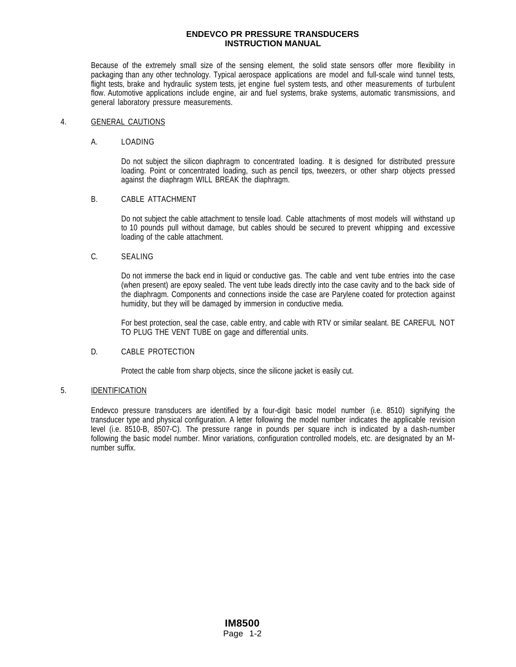Because of the extremely small size of the sensing element, the solid state sensors offer more flexibility in packaging than any other technology. Typical aerospace applications are model and full-scale wind tunnel tests, flight tests, brake and hydraulic system tests, jet engine fuel system tests, and other measurements of turbulent flow. Automotive applications include engine, air and fuel systems, brake systems, automatic transmissions, and general laboratory pressure measurements.

#### 4. GENERAL CAUTIONS

#### A. LOADING

Do not subject the silicon diaphragm to concentrated loading. It is designed for distributed pressure loading. Point or concentrated loading, such as pencil tips, tweezers, or other sharp objects pressed against the diaphragm WILL BREAK the diaphragm.

## B. CABLE ATTACHMENT

Do not subject the cable attachment to tensile load. Cable attachments of most models will withstand up to 10 pounds pull without damage, but cables should be secured to prevent whipping and excessive loading of the cable attachment.

#### C. SEALING

Do not immerse the back end in liquid or conductive gas. The cable and vent tube entries into the case (when present) are epoxy sealed. The vent tube leads directly into the case cavity and to the back side of the diaphragm. Components and connections inside the case are Parylene coated for protection against humidity, but they will be damaged by immersion in conductive media.

For best protection, seal the case, cable entry, and cable with RTV or similar sealant. BE CAREFUL NOT TO PLUG THE VENT TUBE on gage and differential units.

#### D. CABLE PROTECTION

Protect the cable from sharp objects, since the silicone jacket is easily cut.

#### 5. IDENTIFICATION

Endevco pressure transducers are identified by a four-digit basic model number (i.e. 8510) signifying the transducer type and physical configuration. A letter following the model number indicates the applicable revision level (i.e. 8510-B, 8507-C). The pressure range in pounds per square inch is indicated by a dash-number following the basic model number. Minor variations, configuration controlled models, etc. are designated by an Mnumber suffix.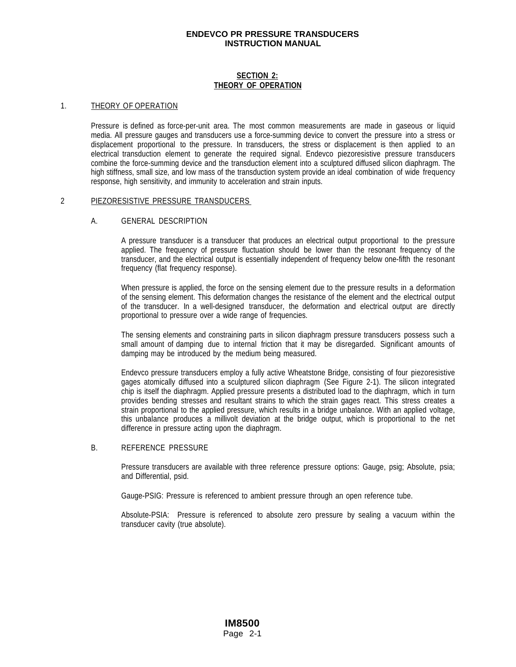## **SECTION 2: THEORY OF OPERATION**

#### 1. THEORY OF OPERATION

Pressure is defined as force-per-unit area. The most common measurements are made in gaseous or liquid media. All pressure gauges and transducers use a force-summing device to convert the pressure into a stress or displacement proportional to the pressure. In transducers, the stress or displacement is then applied to an electrical transduction element to generate the required signal. Endevco piezoresistive pressure transducers combine the force-summing device and the transduction element into a sculptured diffused silicon diaphragm. The high stiffness, small size, and low mass of the transduction system provide an ideal combination of wide frequency response, high sensitivity, and immunity to acceleration and strain inputs.

#### 2 PIEZORESISTIVE PRESSURE TRANSDUCERS

#### A. GENERAL DESCRIPTION

A pressure transducer is a transducer that produces an electrical output proportional to the pressure applied. The frequency of pressure fluctuation should be lower than the resonant frequency of the transducer, and the electrical output is essentially independent of frequency below one-fifth the resonant frequency (flat frequency response).

When pressure is applied, the force on the sensing element due to the pressure results in a deformation of the sensing element. This deformation changes the resistance of the element and the electrical output of the transducer. In a well-designed transducer, the deformation and electrical output are directly proportional to pressure over a wide range of frequencies.

The sensing elements and constraining parts in silicon diaphragm pressure transducers possess such a small amount of damping due to internal friction that it may be disregarded. Significant amounts of damping may be introduced by the medium being measured.

Endevco pressure transducers employ a fully active Wheatstone Bridge, consisting of four piezoresistive gages atomically diffused into a sculptured silicon diaphragm (See Figure 2-1). The silicon integrated chip is itself the diaphragm. Applied pressure presents a distributed load to the diaphragm, which in turn provides bending stresses and resultant strains to which the strain gages react. This stress creates a strain proportional to the applied pressure, which results in a bridge unbalance. With an applied voltage, this unbalance produces a millivolt deviation at the bridge output, which is proportional to the net difference in pressure acting upon the diaphragm.

#### B. REFERENCE PRESSURE

Pressure transducers are available with three reference pressure options: Gauge, psig; Absolute, psia; and Differential, psid.

Gauge-PSIG: Pressure is referenced to ambient pressure through an open reference tube.

Absolute-PSIA: Pressure is referenced to absolute zero pressure by sealing a vacuum within the transducer cavity (true absolute).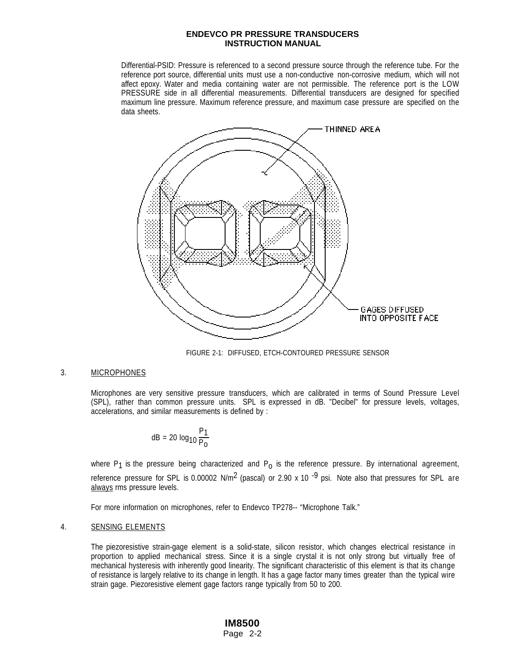Differential-PSID: Pressure is referenced to a second pressure source through the reference tube. For the reference port source, differential units must use a non-conductive non-corrosive medium, which will not affect epoxy. Water and media containing water are not permissible. The reference port is the LOW PRESSURE side in all differential measurements. Differential transducers are designed for specified maximum line pressure. Maximum reference pressure, and maximum case pressure are specified on the data sheets.



FIGURE 2-1: DIFFUSED, ETCH-CONTOURED PRESSURE SENSOR

#### 3. MICROPHONES

Microphones are very sensitive pressure transducers, which are calibrated in terms of Sound Pressure Level (SPL), rather than common pressure units. SPL is expressed in dB. "Decibel" for pressure levels, voltages, accelerations, and similar measurements is defined by :

$$
dB = 20 log10 \frac{P1}{P0}
$$

where  $P_1$  is the pressure being characterized and  $P_0$  is the reference pressure. By international agreement, reference pressure for SPL is 0.00002 N/m<sup>2</sup> (pascal) or 2.90 x 10<sup>-9</sup> psi. Note also that pressures for SPL are always rms pressure levels.

For more information on microphones, refer to Endevco TP278-- "Microphone Talk."

#### 4. SENSING ELEMENTS

The piezoresistive strain-gage element is a solid-state, silicon resistor, which changes electrical resistance in proportion to applied mechanical stress. Since it is a single crystal it is not only strong but virtually free of mechanical hysteresis with inherently good linearity. The significant characteristic of this element is that its change of resistance is largely relative to its change in length. It has a gage factor many times greater than the typical wire strain gage. Piezoresistive element gage factors range typically from 50 to 200.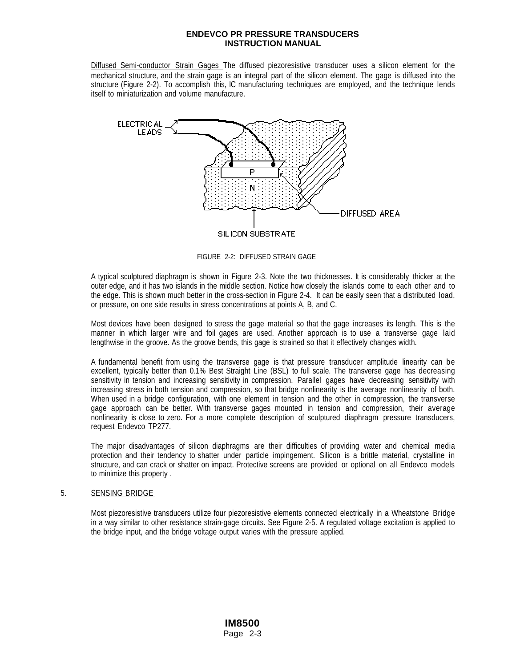Diffused Semi-conductor Strain Gages The diffused piezoresistive transducer uses a silicon element for the mechanical structure, and the strain gage is an integral part of the silicon element. The gage is diffused into the structure (Figure 2-2). To accomplish this, IC manufacturing techniques are employed, and the technique lends itself to miniaturization and volume manufacture.



FIGURE 2-2: DIFFUSED STRAIN GAGE

A typical sculptured diaphragm is shown in Figure 2-3. Note the two thicknesses. It is considerably thicker at the outer edge, and it has two islands in the middle section. Notice how closely the islands come to each other and to the edge. This is shown much better in the cross-section in Figure 2-4. It can be easily seen that a distributed load, or pressure, on one side results in stress concentrations at points A, B, and C.

Most devices have been designed to stress the gage material so that the gage increases its length. This is the manner in which larger wire and foil gages are used. Another approach is to use a transverse gage laid lengthwise in the groove. As the groove bends, this gage is strained so that it effectively changes width.

A fundamental benefit from using the transverse gage is that pressure transducer amplitude linearity can be excellent, typically better than 0.1% Best Straight Line (BSL) to full scale. The transverse gage has decreasing sensitivity in tension and increasing sensitivity in compression. Parallel gages have decreasing sensitivity with increasing stress in both tension and compression, so that bridge nonlinearity is the average nonlinearity of both. When used in a bridge configuration, with one element in tension and the other in compression, the transverse gage approach can be better. With transverse gages mounted in tension and compression, their average nonlinearity is close to zero. For a more complete description of sculptured diaphragm pressure transducers, request Endevco TP277.

The major disadvantages of silicon diaphragms are their difficulties of providing water and chemical media protection and their tendency to shatter under particle impingement. Silicon is a brittle material, crystalline in structure, and can crack or shatter on impact. Protective screens are provided or optional on all Endevco models to minimize this property .

## 5. SENSING BRIDGE

Most piezoresistive transducers utilize four piezoresistive elements connected electrically in a Wheatstone Bridge in a way similar to other resistance strain-gage circuits. See Figure 2-5. A regulated voltage excitation is applied to the bridge input, and the bridge voltage output varies with the pressure applied.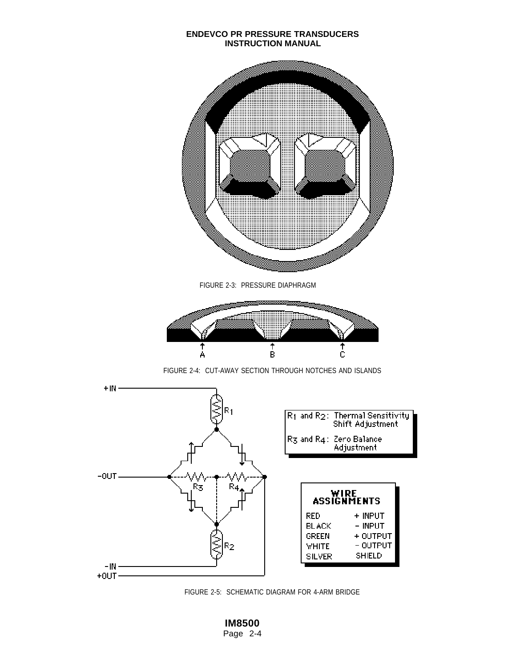

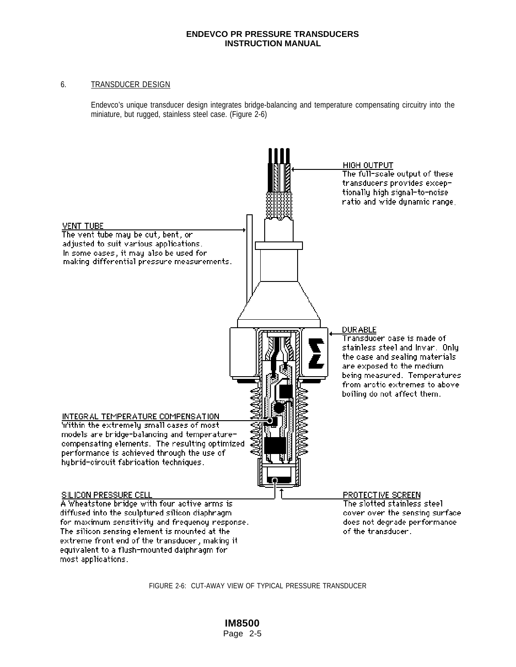## 6. TRANSDUCER DESIGN

Endevco's unique transducer design integrates bridge-balancing and temperature compensating circuitry into the miniature, but rugged, stainless steel case. (Figure 2-6)



FIGURE 2-6: CUT-AWAY VIEW OF TYPICAL PRESSURE TRANSDUCER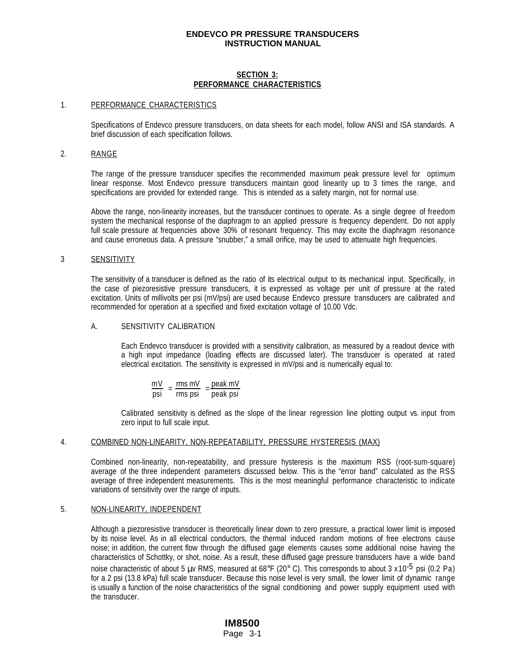## **SECTION 3: PERFORMANCE CHARACTERISTICS**

#### 1. PERFORMANCE CHARACTERISTICS

Specifications of Endevco pressure transducers, on data sheets for each model, follow ANSI and ISA standards. A brief discussion of each specification follows.

#### 2. RANGE

The range of the pressure transducer specifies the recommended maximum peak pressure level for optimum linear response. Most Endevco pressure transducers maintain good linearity up to 3 times the range, and specifications are provided for extended range. This is intended as a safety margin, not for normal use.

 Above the range, non-linearity increases, but the transducer continues to operate. As a single degree of freedom system the mechanical response of the diaphragm to an applied pressure is frequency dependent. Do not apply full scale pressure at frequencies above 30% of resonant frequency. This may excite the diaphragm resonance and cause erroneous data. A pressure "snubber," a small orifice, may be used to attenuate high frequencies.

## 3 **SENSITIVITY**

The sensitivity of a transducer is defined as the ratio of its electrical output to its mechanical input. Specifically, in the case of piezoresistive pressure transducers, it is expressed as voltage per unit of pressure at the rated excitation. Units of millivolts per psi (mV/psi) are used because Endevco pressure transducers are calibrated and recommended for operation at a specified and fixed excitation voltage of 10.00 Vdc.

#### A. SENSITIVITY CALIBRATION

Each Endevco transducer is provided with a sensitivity calibration, as measured by a readout device with a high input impedance (loading effects are discussed later). The transducer is operated at rated electrical excitation. The sensitivity is expressed in mV/psi and is numerically equal to:

mV = msmV = peak mV<br>psi = mspsi = peak psi

Calibrated sensitivity is defined as the slope of the linear regression line plotting output vs. input from zero input to full scale input.

#### 4. COMBINED NON-LINEARITY, NON-REPEATABILITY, PRESSURE HYSTERESIS (MAX)

Combined non-linearity, non-repeatability, and pressure hysteresis is the maximum RSS (root-sum-square) average of the three independent parameters discussed below. This is the "error band" calculated as the RSS average of three independent measurements. This is the most meaningful performance characteristic to indicate variations of sensitivity over the range of inputs.

#### 5. NON-LINEARITY, INDEPENDENT

Although a piezoresistive transducer is theoretically linear down to zero pressure, a practical lower limit is imposed by its noise level. As in all electrical conductors, the thermal induced random motions of free electrons cause noise; in addition, the current flow through the diffused gage elements causes some additional noise having the characteristics of Schottky, or shot, noise. As a result, these diffused gage pressure transducers have a wide band noise characteristic of about 5 µv RMS, measured at 68°F (20° C). This corresponds to about 3 x 10<sup>-5</sup> psi (0.2 Pa) for a 2 psi (13.8 kPa) full scale transducer. Because this noise level is very small, the lower limit of dynamic range is usually a function of the noise characteristics of the signal conditioning and power supply equipment used with the transducer.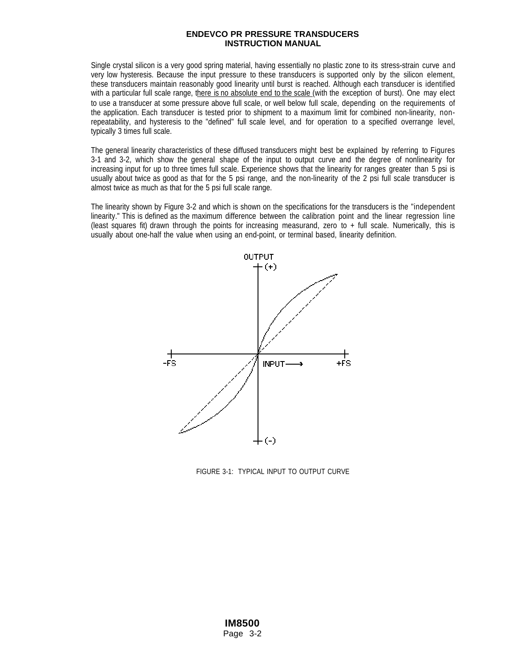Single crystal silicon is a very good spring material, having essentially no plastic zone to its stress-strain curve and very low hysteresis. Because the input pressure to these transducers is supported only by the silicon element, these transducers maintain reasonably good linearity until burst is reached. Although each transducer is identified with a particular full scale range, there is no absolute end to the scale (with the exception of burst). One may elect to use a transducer at some pressure above full scale, or well below full scale, depending on the requirements of the application. Each transducer is tested prior to shipment to a maximum limit for combined non-linearity, nonrepeatability, and hysteresis to the "defined" full scale level, and for operation to a specified overrange level, typically 3 times full scale.

The general linearity characteristics of these diffused transducers might best be explained by referring to Figures 3-1 and 3-2, which show the general shape of the input to output curve and the degree of nonlinearity for increasing input for up to three times full scale. Experience shows that the linearity for ranges greater than 5 psi is usually about twice as good as that for the 5 psi range, and the non-linearity of the 2 psi full scale transducer is almost twice as much as that for the 5 psi full scale range.

The linearity shown by Figure 3-2 and which is shown on the specifications for the transducers is the "independent linearity." This is defined as the maximum difference between the calibration point and the linear regression line (least squares fit) drawn through the points for increasing measurand, zero to + full scale. Numerically, this is usually about one-half the value when using an end-point, or terminal based, linearity definition.



FIGURE 3-1: TYPICAL INPUT TO OUTPUT CURVE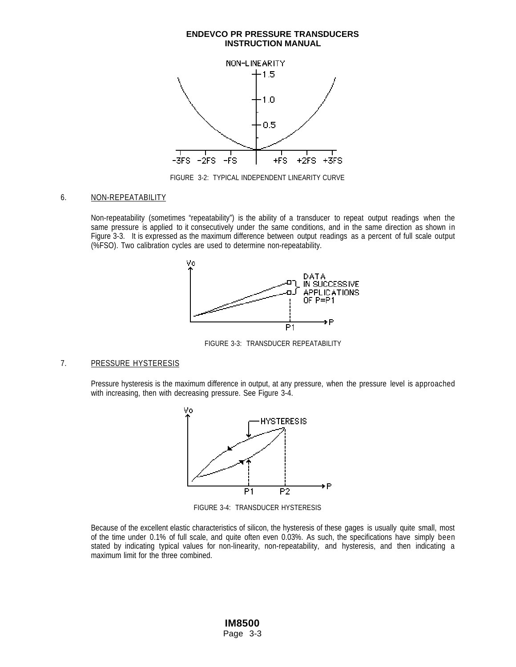

FIGURE 3-2: TYPICAL INDEPENDENT LINEARITY CURVE

#### 6. NON-REPEATABILITY

Non-repeatability (sometimes "repeatability") is the ability of a transducer to repeat output readings when the same pressure is applied to it consecutively under the same conditions, and in the same direction as shown in Figure 3-3. It is expressed as the maximum difference between output readings as a percent of full scale output (%FSO). Two calibration cycles are used to determine non-repeatability.



FIGURE 3-3: TRANSDUCER REPEATABILITY

#### 7. PRESSURE HYSTERESIS

Pressure hysteresis is the maximum difference in output, at any pressure, when the pressure level is approached with increasing, then with decreasing pressure. See Figure 3-4.



FIGURE 3-4: TRANSDUCER HYSTERESIS

Because of the excellent elastic characteristics of silicon, the hysteresis of these gages is usually quite small, most of the time under 0.1% of full scale, and quite often even 0.03%. As such, the specifications have simply been stated by indicating typical values for non-linearity, non-repeatability, and hysteresis, and then indicating a maximum limit for the three combined.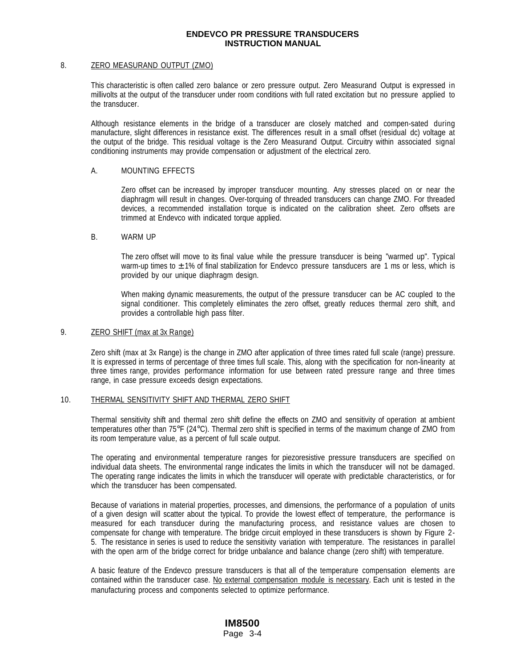#### 8. ZERO MEASURAND OUTPUT (ZMO)

This characteristic is often called zero balance or zero pressure output. Zero Measurand Output is expressed in millivolts at the output of the transducer under room conditions with full rated excitation but no pressure applied to the transducer.

Although resistance elements in the bridge of a transducer are closely matched and compen-sated during manufacture, slight differences in resistance exist. The differences result in a small offset (residual dc) voltage at the output of the bridge. This residual voltage is the Zero Measurand Output. Circuitry within associated signal conditioning instruments may provide compensation or adjustment of the electrical zero.

#### A. MOUNTING EFFECTS

Zero offset can be increased by improper transducer mounting. Any stresses placed on or near the diaphragm will result in changes. Over-torquing of threaded transducers can change ZMO. For threaded devices, a recommended installation torque is indicated on the calibration sheet. Zero offsets are trimmed at Endevco with indicated torque applied.

#### B. WARM UP

The zero offset will move to its final value while the pressure transducer is being "warmed up". Typical warm-up times to  $\pm$  1% of final stabilization for Endevco pressure tansducers are 1 ms or less, which is provided by our unique diaphragm design.

When making dynamic measurements, the output of the pressure transducer can be AC coupled to the signal conditioner. This completely eliminates the zero offset, greatly reduces thermal zero shift, and provides a controllable high pass filter.

#### 9. **ZERO SHIFT** (max at 3x Range)

Zero shift (max at 3x Range) is the change in ZMO after application of three times rated full scale (range) pressure. It is expressed in terms of percentage of three times full scale. This, along with the specification for non-linearity at three times range, provides performance information for use between rated pressure range and three times range, in case pressure exceeds design expectations.

#### 10. THERMAL SENSITIVITY SHIFT AND THERMAL ZERO SHIFT

Thermal sensitivity shift and thermal zero shift define the effects on ZMO and sensitivity of operation at ambient temperatures other than 75°F (24°C). Thermal zero shift is specified in terms of the maximum change of ZMO from its room temperature value, as a percent of full scale output.

The operating and environmental temperature ranges for piezoresistive pressure transducers are specified on individual data sheets. The environmental range indicates the limits in which the transducer will not be damaged. The operating range indicates the limits in which the transducer will operate with predictable characteristics, or for which the transducer has been compensated.

Because of variations in material properties, processes, and dimensions, the performance of a population of units of a given design will scatter about the typical. To provide the lowest effect of temperature, the performance is measured for each transducer during the manufacturing process, and resistance values are chosen to compensate for change with temperature. The bridge circuit employed in these transducers is shown by Figure 2- 5. The resistance in series is used to reduce the sensitivity variation with temperature. The resistances in parallel with the open arm of the bridge correct for bridge unbalance and balance change (zero shift) with temperature.

A basic feature of the Endevco pressure transducers is that all of the temperature compensation elements are contained within the transducer case. No external compensation module is necessary. Each unit is tested in the manufacturing process and components selected to optimize performance.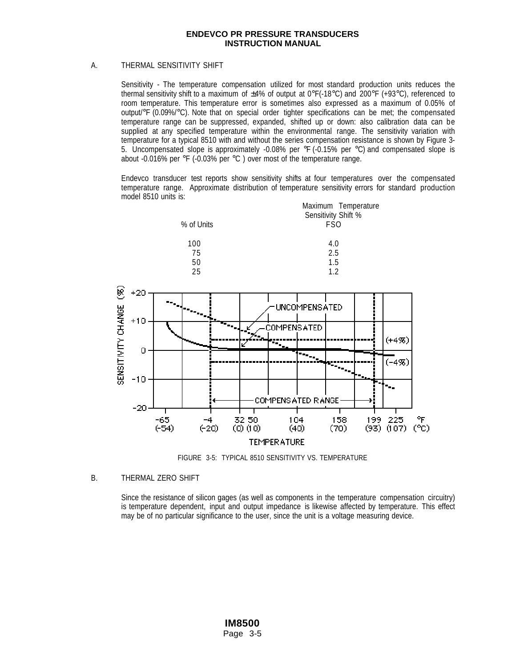## A. THERMAL SENSITIVITY SHIFT

Sensitivity - The temperature compensation utilized for most standard production units reduces the thermal sensitivity shift to a maximum of  $\pm 4\%$  of output at 0°F(-18°C) and 200°F (+93°C), referenced to room temperature. This temperature error is sometimes also expressed as a maximum of 0.05% of output/°F (0.09%/°C). Note that on special order tighter specifications can be met; the compensated temperature range can be suppressed, expanded, shifted up or down: also calibration data can be supplied at any specified temperature within the environmental range. The sensitivity variation with temperature for a typical 8510 with and without the series compensation resistance is shown by Figure 3- 5. Uncompensated slope is approximately -0.08% per  $\degree$ F (-0.15% per  $\degree$ C) and compensated slope is about -0.016% per °F (-0.03% per °C ) over most of the temperature range.

Endevco transducer test reports show sensitivity shifts at four temperatures over the compensated temperature range. Approximate distribution of temperature sensitivity errors for standard production model 8510 units is:



FIGURE 3-5: TYPICAL 8510 SENSITIVITY VS. TEMPERATURE

## B. THERMAL ZERO SHIFT

Since the resistance of silicon gages (as well as components in the temperature compensation circuitry) is temperature dependent, input and output impedance is likewise affected by temperature. This effect may be of no particular significance to the user, since the unit is a voltage measuring device.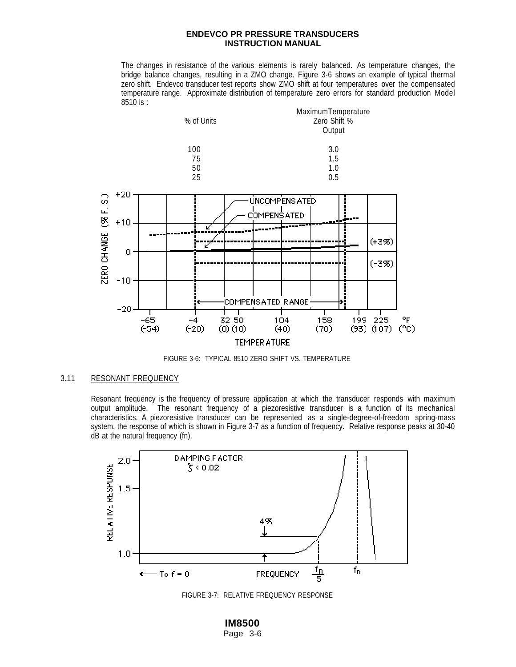The changes in resistance of the various elements is rarely balanced. As temperature changes, the bridge balance changes, resulting in a ZMO change. Figure 3-6 shows an example of typical thermal zero shift. Endevco transducer test reports show ZMO shift at four temperatures over the compensated temperature range. Approximate distribution of temperature zero errors for standard production Model 8510 is :



FIGURE 3-6: TYPICAL 8510 ZERO SHIFT VS. TEMPERATURE

## 3.11 RESONANT FREQUENCY

Resonant frequency is the frequency of pressure application at which the transducer responds with maximum output amplitude. The resonant frequency of a piezoresistive transducer is a function of its mechanical characteristics. A piezoresistive transducer can be represented as a single-degree-of-freedom spring-mass system, the response of which is shown in Figure 3-7 as a function of frequency. Relative response peaks at 30-40 dB at the natural frequency (fn).



FIGURE 3-7: RELATIVE FREQUENCY RESPONSE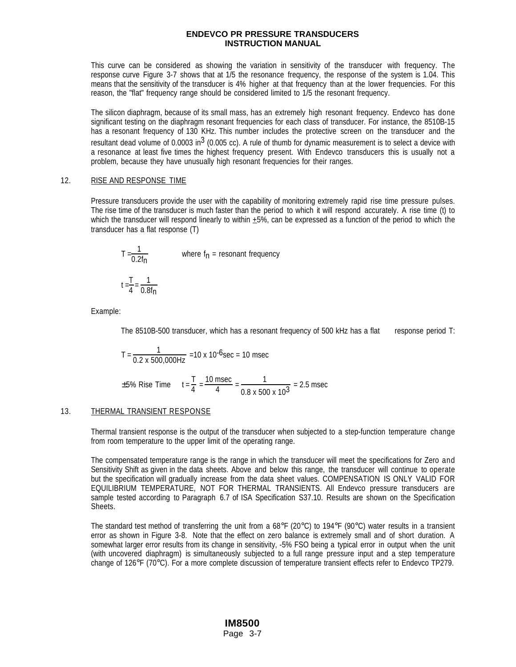This curve can be considered as showing the variation in sensitivity of the transducer with frequency. The response curve Figure 3-7 shows that at 1/5 the resonance frequency, the response of the system is 1.04. This means that the sensitivity of the transducer is 4% higher at that frequency than at the lower frequencies. For this reason, the "flat" frequency range should be considered limited to 1/5 the resonant frequency.

The silicon diaphragm, because of its small mass, has an extremely high resonant frequency. Endevco has done significant testing on the diaphragm resonant frequencies for each class of transducer. For instance, the 8510B-15 has a resonant frequency of 130 KHz. This number includes the protective screen on the transducer and the resultant dead volume of  $0.0003$  in<sup>3</sup> (0.005 cc). A rule of thumb for dynamic measurement is to select a device with a resonance at least five times the highest frequency present. With Endevco transducers this is usually not a problem, because they have unusually high resonant frequencies for their ranges.

#### 12. RISE AND RESPONSE TIME

Pressure transducers provide the user with the capability of monitoring extremely rapid rise time pressure pulses. The rise time of the transducer is much faster than the period to which it will respond accurately. A rise time (t) to which the transducer will respond linearly to within +5%, can be expressed as a function of the period to which the transducer has a flat response (T)

$$
T = \frac{1}{0.2f_{\text{n}}}
$$
 where  $f_{\text{n}} = \text{resonant frequency}$   

$$
t = \frac{T}{4} = \frac{1}{0.8f_{\text{n}}}
$$

Example:

The 8510B-500 transducer, which has a resonant frequency of 500 kHz has a flat response period T:

$$
T = \frac{1}{0.2 \times 500,000 \text{ Hz}} = 10 \times 10^{-6} \text{sec} = 10 \text{ msec}
$$
  

$$
\pm 5\% \text{ Rise Time } t = \frac{T}{4} = \frac{10 \text{ msec}}{4} = \frac{1}{0.8 \times 500 \times 10^3} = 2.5 \text{ msec}
$$

## 13. THERMAL TRANSIENT RESPONSE

Thermal transient response is the output of the transducer when subjected to a step-function temperature change from room temperature to the upper limit of the operating range.

The compensated temperature range is the range in which the transducer will meet the specifications for Zero and Sensitivity Shift as given in the data sheets. Above and below this range, the transducer will continue to operate but the specification will gradually increase from the data sheet values. COMPENSATION IS ONLY VALID FOR EQUILIBRIUM TEMPERATURE, NOT FOR THERMAL TRANSIENTS. All Endevco pressure transducers are sample tested according to Paragraph 6.7 of ISA Specification S37.10. Results are shown on the Specification Sheets.

The standard test method of transferring the unit from a  $68^{\circ}F$  (20 $^{\circ}C$ ) to 194 $^{\circ}F$  (90 $^{\circ}C$ ) water results in a transient error as shown in Figure 3-8. Note that the effect on zero balance is extremely small and of short duration. A somewhat larger error results from its change in sensitivity, -5% FSO being a typical error in output when the unit (with uncovered diaphragm) is simultaneously subjected to a full range pressure input and a step temperature change of 126°F (70°C). For a more complete discussion of temperature transient effects refer to Endevco TP279.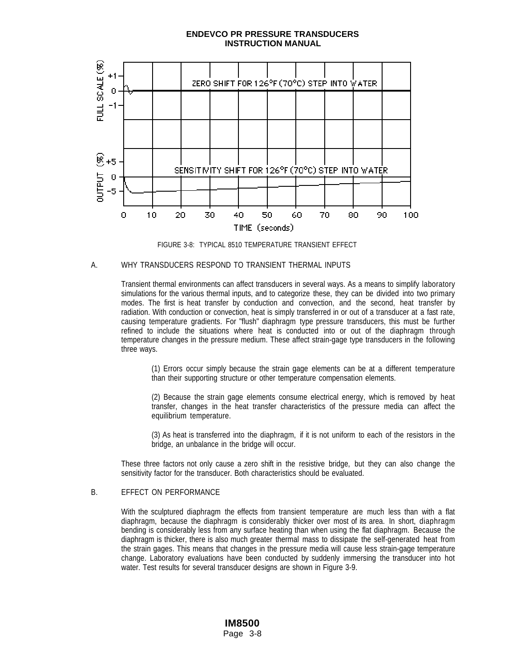

FIGURE 3-8: TYPICAL 8510 TEMPERATURE TRANSIENT EFFECT

#### A. WHY TRANSDUCERS RESPOND TO TRANSIENT THERMAL INPUTS

Transient thermal environments can affect transducers in several ways. As a means to simplify laboratory simulations for the various thermal inputs, and to categorize these, they can be divided into two primary modes. The first is heat transfer by conduction and convection, and the second, heat transfer by radiation. With conduction or convection, heat is simply transferred in or out of a transducer at a fast rate, causing temperature gradients. For "flush" diaphragm type pressure transducers, this must be further refined to include the situations where heat is conducted into or out of the diaphragm through temperature changes in the pressure medium. These affect strain-gage type transducers in the following three ways.

(1) Errors occur simply because the strain gage elements can be at a different temperature than their supporting structure or other temperature compensation elements.

(2) Because the strain gage elements consume electrical energy, which is removed by heat transfer, changes in the heat transfer characteristics of the pressure media can affect the equilibrium temperature.

(3) As heat is transferred into the diaphragm, if it is not uniform to each of the resistors in the bridge, an unbalance in the bridge will occur.

These three factors not only cause a zero shift in the resistive bridge, but they can also change the sensitivity factor for the transducer. Both characteristics should be evaluated.

## B. EFFECT ON PERFORMANCE

With the sculptured diaphragm the effects from transient temperature are much less than with a flat diaphragm, because the diaphragm is considerably thicker over most of its area. In short, diaphragm bending is considerably less from any surface heating than when using the flat diaphragm. Because the diaphragm is thicker, there is also much greater thermal mass to dissipate the self-generated heat from the strain gages. This means that changes in the pressure media will cause less strain-gage temperature change. Laboratory evaluations have been conducted by suddenly immersing the transducer into hot water. Test results for several transducer designs are shown in Figure 3-9.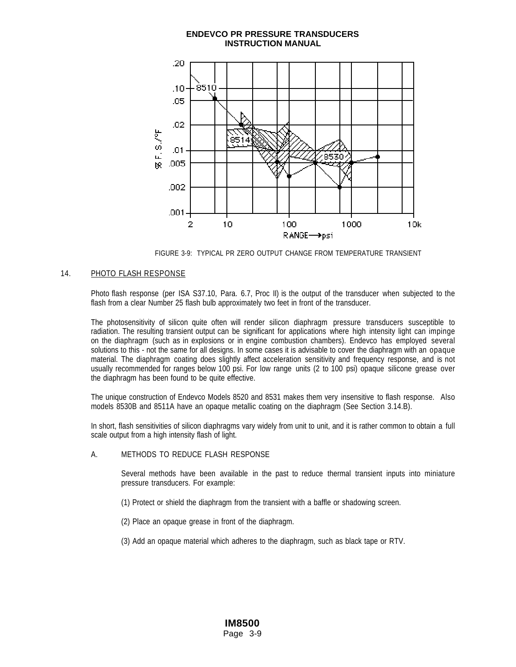

FIGURE 3-9: TYPICAL PR ZERO OUTPUT CHANGE FROM TEMPERATURE TRANSIENT

## 14. PHOTO FLASH RESPONSE

Photo flash response (per ISA S37.10, Para. 6.7, Proc II) is the output of the transducer when subjected to the flash from a clear Number 25 flash bulb approximately two feet in front of the transducer.

The photosensitivity of silicon quite often will render silicon diaphragm pressure transducers susceptible to radiation. The resulting transient output can be significant for applications where high intensity light can impinge on the diaphragm (such as in explosions or in engine combustion chambers). Endevco has employed several solutions to this - not the same for all designs. In some cases it is advisable to cover the diaphragm with an opaque material. The diaphragm coating does slightly affect acceleration sensitivity and frequency response, and is not usually recommended for ranges below 100 psi. For low range units (2 to 100 psi) opaque silicone grease over the diaphragm has been found to be quite effective.

The unique construction of Endevco Models 8520 and 8531 makes them very insensitive to flash response. Also models 8530B and 8511A have an opaque metallic coating on the diaphragm (See Section 3.14.B).

In short, flash sensitivities of silicon diaphragms vary widely from unit to unit, and it is rather common to obtain a full scale output from a high intensity flash of light.

#### A. METHODS TO REDUCE FLASH RESPONSE

Several methods have been available in the past to reduce thermal transient inputs into miniature pressure transducers. For example:

- (1) Protect or shield the diaphragm from the transient with a baffle or shadowing screen.
- (2) Place an opaque grease in front of the diaphragm.

(3) Add an opaque material which adheres to the diaphragm, such as black tape or RTV.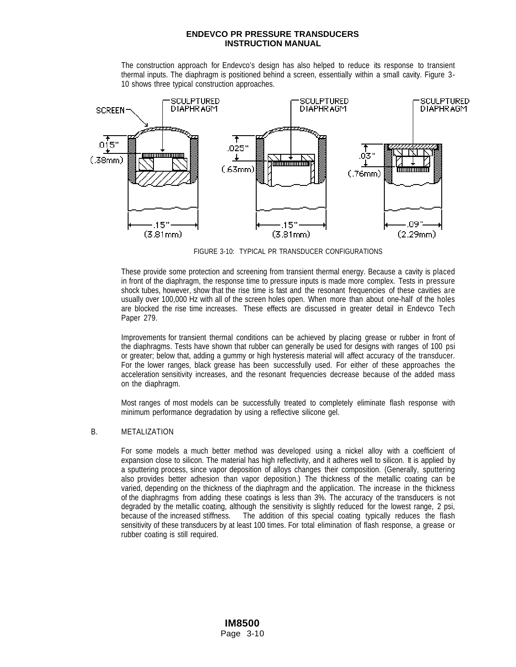The construction approach for Endevco's design has also helped to reduce its response to transient thermal inputs. The diaphragm is positioned behind a screen, essentially within a small cavity. Figure 3- 10 shows three typical construction approaches.



FIGURE 3-10: TYPICAL PR TRANSDUCER CONFIGURATIONS

These provide some protection and screening from transient thermal energy. Because a cavity is placed in front of the diaphragm, the response time to pressure inputs is made more complex. Tests in pressure shock tubes, however, show that the rise time is fast and the resonant frequencies of these cavities are usually over 100,000 Hz with all of the screen holes open. When more than about one-half of the holes are blocked the rise time increases. These effects are discussed in greater detail in Endevco Tech Paper 279.

Improvements for transient thermal conditions can be achieved by placing grease or rubber in front of the diaphragms. Tests have shown that rubber can generally be used for designs with ranges of 100 psi or greater; below that, adding a gummy or high hysteresis material will affect accuracy of the transducer. For the lower ranges, black grease has been successfully used. For either of these approaches the acceleration sensitivity increases, and the resonant frequencies decrease because of the added mass on the diaphragm.

Most ranges of most models can be successfully treated to completely eliminate flash response with minimum performance degradation by using a reflective silicone gel.

#### B. METALIZATION

For some models a much better method was developed using a nickel alloy with a coefficient of expansion close to silicon. The material has high reflectivity, and it adheres well to silicon. It is applied by a sputtering process, since vapor deposition of alloys changes their composition. (Generally, sputtering also provides better adhesion than vapor deposition.) The thickness of the metallic coating can be varied, depending on the thickness of the diaphragm and the application. The increase in the thickness of the diaphragms from adding these coatings is less than 3%. The accuracy of the transducers is not degraded by the metallic coating, although the sensitivity is slightly reduced for the lowest range, 2 psi, because of the increased stiffness. The addition of this special coating typically reduces the flash sensitivity of these transducers by at least 100 times. For total elimination of flash response, a grease or rubber coating is still required.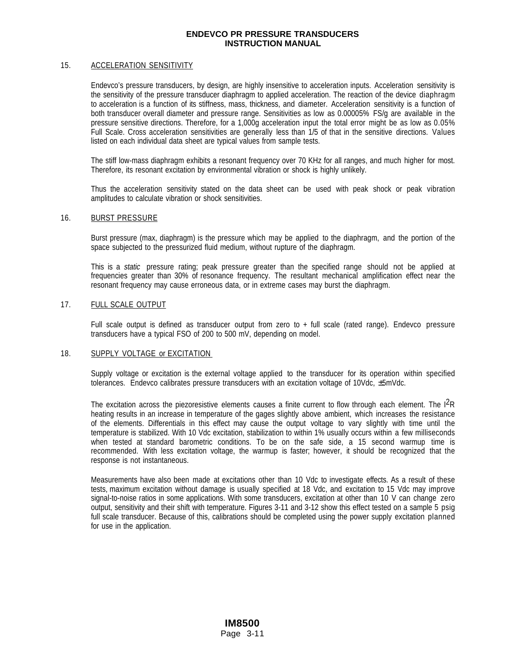#### 15. ACCELERATION SENSITIVITY

Endevco's pressure transducers, by design, are highly insensitive to acceleration inputs. Acceleration sensitivity is the sensitivity of the pressure transducer diaphragm to applied acceleration. The reaction of the device diaphragm to acceleration is a function of its stiffness, mass, thickness, and diameter. Acceleration sensitivity is a function of both transducer overall diameter and pressure range. Sensitivities as low as 0.00005% FS/g are available in the pressure sensitive directions. Therefore, for a 1,000g acceleration input the total error might be as low as 0.05% Full Scale. Cross acceleration sensitivities are generally less than 1/5 of that in the sensitive directions. Values listed on each individual data sheet are typical values from sample tests.

The stiff low-mass diaphragm exhibits a resonant frequency over 70 KHz for all ranges, and much higher for most. Therefore, its resonant excitation by environmental vibration or shock is highly unlikely.

Thus the acceleration sensitivity stated on the data sheet can be used with peak shock or peak vibration amplitudes to calculate vibration or shock sensitivities.

#### 16. BURST PRESSURE

Burst pressure (max, diaphragm) is the pressure which may be applied to the diaphragm, and the portion of the space subjected to the pressurized fluid medium, without rupture of the diaphragm.

This is a static pressure rating; peak pressure greater than the specified range should not be applied at frequencies greater than 30% of resonance frequency. The resultant mechanical amplification effect near the resonant frequency may cause erroneous data, or in extreme cases may burst the diaphragm.

#### 17. FULL SCALE OUTPUT

Full scale output is defined as transducer output from zero to + full scale (rated range). Endevco pressure transducers have a typical FSO of 200 to 500 mV, depending on model.

#### 18. SUPPLY VOLTAGE or EXCITATION

Supply voltage or excitation is the external voltage applied to the transducer for its operation within specified tolerances. Endevco calibrates pressure transducers with an excitation voltage of 10Vdc,  $\pm$ 5mVdc.

The excitation across the piezoresistive elements causes a finite current to flow through each element. The  $1^{2}R$ heating results in an increase in temperature of the gages slightly above ambient, which increases the resistance of the elements. Differentials in this effect may cause the output voltage to vary slightly with time until the temperature is stabilized. With 10 Vdc excitation, stabilization to within 1% usually occurs within a few milliseconds when tested at standard barometric conditions. To be on the safe side, a 15 second warmup time is recommended. With less excitation voltage, the warmup is faster; however, it should be recognized that the response is not instantaneous.

Measurements have also been made at excitations other than 10 Vdc to investigate effects. As a result of these tests, maximum excitation without damage is usually specified at 18 Vdc, and excitation to 15 Vdc may improve signal-to-noise ratios in some applications. With some transducers, excitation at other than 10 V can change zero output, sensitivity and their shift with temperature. Figures 3-11 and 3-12 show this effect tested on a sample 5 psig full scale transducer. Because of this, calibrations should be completed using the power supply excitation planned for use in the application.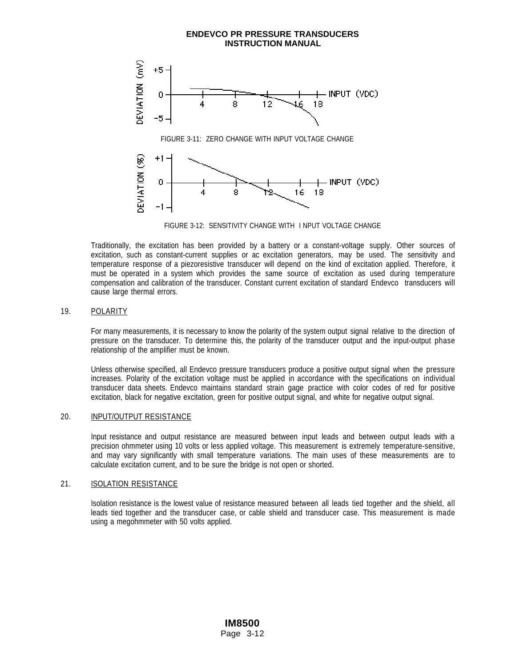

FIGURE 3-12: SENSITIVITY CHANGE WITH I NPUT VOLTAGE CHANGE

Traditionally, the excitation has been provided by a battery or a constant-voltage supply. Other sources of excitation, such as constant-current supplies or ac excitation generators, may be used. The sensitivity and temperature response of a piezoresistive transducer will depend on the kind of excitation applied. Therefore, it must be operated in a system which provides the same source of excitation as used during temperature compensation and calibration of the transducer. Constant current excitation of standard Endevco transducers will cause large thermal errors.

#### 19. POLARITY

For many measurements, it is necessary to know the polarity of the system output signal relative to the direction of pressure on the transducer. To determine this, the polarity of the transducer output and the input-output phase relationship of the amplifier must be known.

Unless otherwise specified, all Endevco pressure transducers produce a positive output signal when the pressure increases. Polarity of the excitation voltage must be applied in accordance with the specifications on individual transducer data sheets. Endevco maintains standard strain gage practice with color codes of red for positive excitation, black for negative excitation, green for positive output signal, and white for negative output signal.

## 20. INPUT/OUTPUT RESISTANCE

Input resistance and output resistance are measured between input leads and between output leads with a precision ohmmeter using 10 volts or less applied voltage. This measurement is extremely temperature-sensitive, and may vary significantly with small temperature variations. The main uses of these measurements are to calculate excitation current, and to be sure the bridge is not open or shorted.

#### 21. **ISOLATION RESISTANCE**

Isolation resistance is the lowest value of resistance measured between all leads tied together and the shield, all leads tied together and the transducer case, or cable shield and transducer case. This measurement is made using a megohmmeter with 50 volts applied.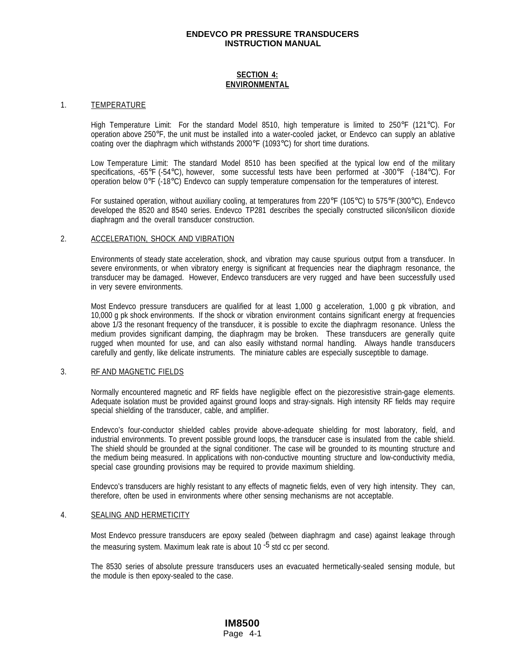## **SECTION 4: ENVIRONMENTAL**

#### 1. TEMPERATURE

High Temperature Limit: For the standard Model 8510, high temperature is limited to 250°F (121°C). For operation above 250°F, the unit must be installed into a water-cooled jacket, or Endevco can supply an ablative coating over the diaphragm which withstands 2000°F (1093°C) for short time durations.

Low Temperature Limit: The standard Model 8510 has been specified at the typical low end of the military specifications, -65°F (-54°C), however, some successful tests have been performed at -300°F (-184°C). For operation below 0°F (-18°C) Endevco can supply temperature compensation for the temperatures of interest.

For sustained operation, without auxiliary cooling, at temperatures from 220°F (105°C) to 575°F (300°C), Endevco developed the 8520 and 8540 series. Endevco TP281 describes the specially constructed silicon/silicon dioxide diaphragm and the overall transducer construction.

#### 2. ACCELERATION, SHOCK AND VIBRATION

Environments of steady state acceleration, shock, and vibration may cause spurious output from a transducer. In severe environments, or when vibratory energy is significant at frequencies near the diaphragm resonance, the transducer may be damaged. However, Endevco transducers are very rugged and have been successfully used in very severe environments.

Most Endevco pressure transducers are qualified for at least 1,000 g acceleration, 1,000 g pk vibration, and 10,000 g pk shock environments. If the shock or vibration environment contains significant energy at frequencies above 1/3 the resonant frequency of the transducer, it is possible to excite the diaphragm resonance. Unless the medium provides significant damping, the diaphragm may be broken. These transducers are generally quite rugged when mounted for use, and can also easily withstand normal handling. Always handle transducers carefully and gently, like delicate instruments. The miniature cables are especially susceptible to damage.

#### 3. RF AND MAGNETIC FIELDS

Normally encountered magnetic and RF fields have negligible effect on the piezoresistive strain-gage elements. Adequate isolation must be provided against ground loops and stray-signals. High intensity RF fields may require special shielding of the transducer, cable, and amplifier.

Endevco's four-conductor shielded cables provide above-adequate shielding for most laboratory, field, and industrial environments. To prevent possible ground loops, the transducer case is insulated from the cable shield. The shield should be grounded at the signal conditioner. The case will be grounded to its mounting structure and the medium being measured. In applications with non-conductive mounting structure and low-conductivity media, special case grounding provisions may be required to provide maximum shielding.

Endevco's transducers are highly resistant to any effects of magnetic fields, even of very high intensity. They can, therefore, often be used in environments where other sensing mechanisms are not acceptable.

#### 4. SEALING AND HERMETICITY

Most Endevco pressure transducers are epoxy sealed (between diaphragm and case) against leakage through the measuring system. Maximum leak rate is about 10<sup>-5</sup> std cc per second.

The 8530 series of absolute pressure transducers uses an evacuated hermetically-sealed sensing module, but the module is then epoxy-sealed to the case.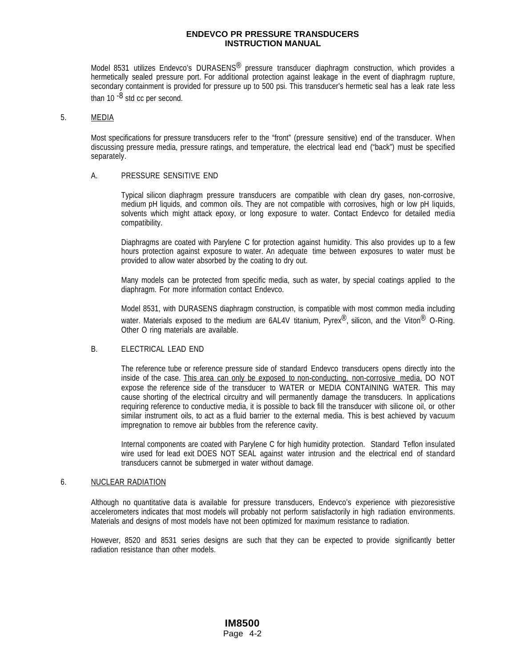Model 8531 utilizes Endevco's DURASENS<sup>®</sup> pressure transducer diaphragm construction, which provides a hermetically sealed pressure port. For additional protection against leakage in the event of diaphragm rupture, secondary containment is provided for pressure up to 500 psi. This transducer's hermetic seal has a leak rate less than 10 $-8$  std cc per second.

#### 5. MEDIA

Most specifications for pressure transducers refer to the "front" (pressure sensitive) end of the transducer. When discussing pressure media, pressure ratings, and temperature, the electrical lead end ("back") must be specified separately.

#### A. PRESSURE SENSITIVE END

Typical silicon diaphragm pressure transducers are compatible with clean dry gases, non-corrosive, medium pH liquids, and common oils. They are not compatible with corrosives, high or low pH liquids, solvents which might attack epoxy, or long exposure to water. Contact Endevco for detailed media compatibility.

Diaphragms are coated with Parylene C for protection against humidity. This also provides up to a few hours protection against exposure to water. An adequate time between exposures to water must be provided to allow water absorbed by the coating to dry out.

Many models can be protected from specific media, such as water, by special coatings applied to the diaphragm. For more information contact Endevco.

Model 8531, with DURASENS diaphragm construction, is compatible with most common media including water. Materials exposed to the medium are  $6AL4V$  titanium, Pyrex<sup>®</sup>, silicon, and the Viton<sup>®</sup> O-Ring. Other O ring materials are available.

#### B. ELECTRICAL LEAD END

The reference tube or reference pressure side of standard Endevco transducers opens directly into the inside of the case. This area can only be exposed to non-conducting, non-corrosive media. DO NOT expose the reference side of the transducer to WATER or MEDIA CONTAINING WATER. This may cause shorting of the electrical circuitry and will permanently damage the transducers. In applications requiring reference to conductive media, it is possible to back fill the transducer with silicone oil, or other similar instrument oils, to act as a fluid barrier to the external media. This is best achieved by vacuum impregnation to remove air bubbles from the reference cavity.

Internal components are coated with Parylene C for high humidity protection. Standard Teflon insulated wire used for lead exit DOES NOT SEAL against water intrusion and the electrical end of standard transducers cannot be submerged in water without damage.

#### 6. NUCLEAR RADIATION

Although no quantitative data is available for pressure transducers, Endevco's experience with piezoresistive accelerometers indicates that most models will probably not perform satisfactorily in high radiation environments. Materials and designs of most models have not been optimized for maximum resistance to radiation.

However, 8520 and 8531 series designs are such that they can be expected to provide significantly better radiation resistance than other models.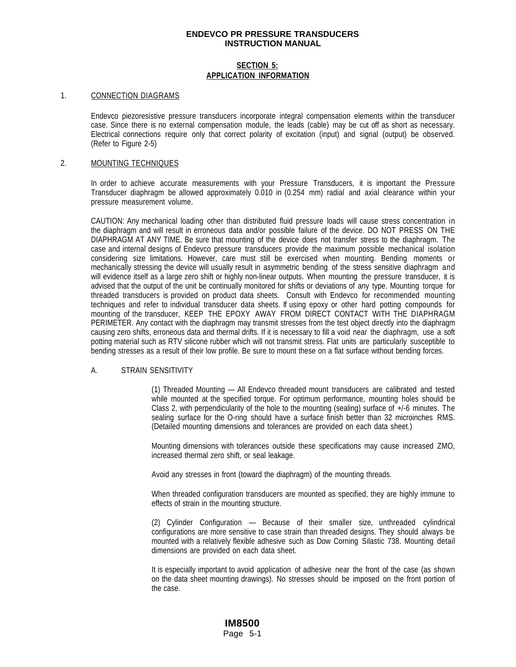#### **SECTION 5: APPLICATION INFORMATION**

#### 1. CONNECTION DIAGRAMS

Endevco piezoresistive pressure transducers incorporate integral compensation elements within the transducer case. Since there is no external compensation module, the leads (cable) may be cut off as short as necessary. Electrical connections require only that correct polarity of excitation (input) and signal (output) be observed. (Refer to Figure 2-5)

#### 2. MOUNTING TECHNIQUES

In order to achieve accurate measurements with your Pressure Transducers, it is important the Pressure Transducer diaphragm be allowed approximately 0.010 in (0.254 mm) radial and axial clearance within your pressure measurement volume.

CAUTION: Any mechanical loading other than distributed fluid pressure loads will cause stress concentration in the diaphragm and will result in erroneous data and/or possible failure of the device. DO NOT PRESS ON THE DIAPHRAGM AT ANY TIME. Be sure that mounting of the device does not transfer stress to the diaphragm. The case and internal designs of Endevco pressure transducers provide the maximum possible mechanical isolation considering size limitations. However, care must still be exercised when mounting. Bending moments or mechanically stressing the device will usually result in asymmetric bending of the stress sensitive diaphragm and will evidence itself as a large zero shift or highly non-linear outputs. When mounting the pressure transducer, it is advised that the output of the unit be continually monitored for shifts or deviations of any type. Mounting torque for threaded transducers is provided on product data sheets. Consult with Endevco for recommended mounting techniques and refer to individual transducer data sheets. If using epoxy or other hard potting compounds for mounting of the transducer, KEEP THE EPOXY AWAY FROM DIRECT CONTACT WITH THE DIAPHRAGM PERIMETER. Any contact with the diaphragm may transmit stresses from the test object directly into the diaphragm causing zero shifts, erroneous data and thermal drifts. If it is necessary to fill a void near the diaphragm, use a soft potting material such as RTV silicone rubber which will not transmit stress. Flat units are particularly susceptible to bending stresses as a result of their low profile. Be sure to mount these on a flat surface without bending forces.

#### A. STRAIN SENSITIVITY

(1) Threaded Mounting — All Endevco threaded mount transducers are calibrated and tested while mounted at the specified torque. For optimum performance, mounting holes should be Class 2, with perpendicularity of the hole to the mounting (sealing) surface of +/-6 minutes. The sealing surface for the O-ring should have a surface finish better than 32 microinches RMS. (Detailed mounting dimensions and tolerances are provided on each data sheet.)

Mounting dimensions with tolerances outside these specifications may cause increased ZMO, increased thermal zero shift, or seal leakage.

Avoid any stresses in front (toward the diaphragm) of the mounting threads.

When threaded configuration transducers are mounted as specified, they are highly immune to effects of strain in the mounting structure.

(2) Cylinder Configuration — Because of their smaller size, unthreaded cylindrical configurations are more sensitive to case strain than threaded designs. They should always be mounted with a relatively flexible adhesive such as Dow Corning Silastic 738. Mounting detail dimensions are provided on each data sheet.

It is especially important to avoid application of adhesive near the front of the case (as shown on the data sheet mounting drawings). No stresses should be imposed on the front portion of the case.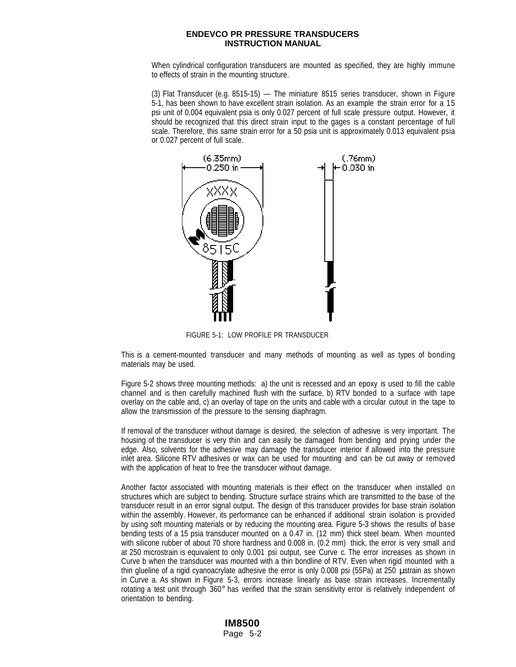When cylindrical configuration transducers are mounted as specified, they are highly immune to effects of strain in the mounting structure.

(3) Flat Transducer (e.g. 8515-15) — The miniature 8515 series transducer, shown in Figure 5-1, has been shown to have excellent strain isolation. As an example the strain error for a 15 psi unit of 0.004 equivalent psia is only 0.027 percent of full scale pressure output. However, it should be recognized that this direct strain input to the gages is a constant percentage of full scale. Therefore, this same strain error for a 50 psia unit is approximately 0.013 equivalent psia or 0.027 percent of full scale.



FIGURE 5-1: LOW PROFILE PR TRANSDUCER

This is a cement-mounted transducer and many methods of mounting as well as types of bonding materials may be used.

Figure 5-2 shows three mounting methods: a) the unit is recessed and an epoxy is used to fill the cable channel and is then carefully machined flush with the surface, b) RTV bonded to a surface with tape overlay on the cable and, c) an overlay of tape on the units and cable with a circular cutout in the tape to allow the transmission of the pressure to the sensing diaphragm.

If removal of the transducer without damage is desired, the selection of adhesive is very important. The housing of the transducer is very thin and can easily be damaged from bending and prying under the edge. Also, solvents for the adhesive may damage the transducer interior if allowed into the pressure inlet area. Silicone RTV adhesives or wax can be used for mounting and can be cut away or removed with the application of heat to free the transducer without damage.

Another factor associated with mounting materials is their effect on the transducer when installed on structures which are subject to bending. Structure surface strains which are transmitted to the base of the transducer result in an error signal output. The design of this transducer provides for base strain isolation within the assembly. However, its performance can be enhanced if additional strain isolation is provided by using soft mounting materials or by reducing the mounting area. Figure 5-3 shows the results of base bending tests of a 15 psia transducer mounted on a 0.47 in. (12 mm) thick steel beam. When mounted with silicone rubber of about 70 shore hardness and 0.008 in. (0.2 mm) thick, the error is very small and at 250 microstrain is equivalent to only 0.001 psi output, see Curve c. The error increases as shown in Curve b when the transducer was mounted with a thin bondline of RTV. Even when rigid mounted with a thin glueline of a rigid cyanoacrylate adhesive the error is only 0.008 psi (55Pa) at 250 µstrain as shown in Curve a. As shown in Figure 5-3, errors increase linearly as base strain increases. Incrementally rotating a test unit through 360° has verified that the strain sensitivity error is relatively independent of orientation to bending.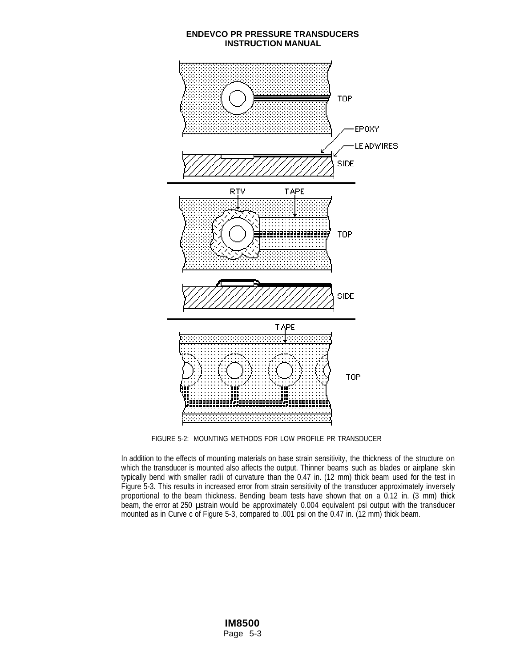

FIGURE 5-2: MOUNTING METHODS FOR LOW PROFILE PR TRANSDUCER

In addition to the effects of mounting materials on base strain sensitivity, the thickness of the structure on which the transducer is mounted also affects the output. Thinner beams such as blades or airplane skin typically bend with smaller radii of curvature than the 0.47 in. (12 mm) thick beam used for the test in Figure 5-3. This results in increased error from strain sensitivity of the transducer approximately inversely proportional to the beam thickness. Bending beam tests have shown that on a 0.12 in. (3 mm) thick beam, the error at 250 µstrain would be approximately 0.004 equivalent psi output with the transducer mounted as in Curve c of Figure 5-3, compared to .001 psi on the 0.47 in. (12 mm) thick beam.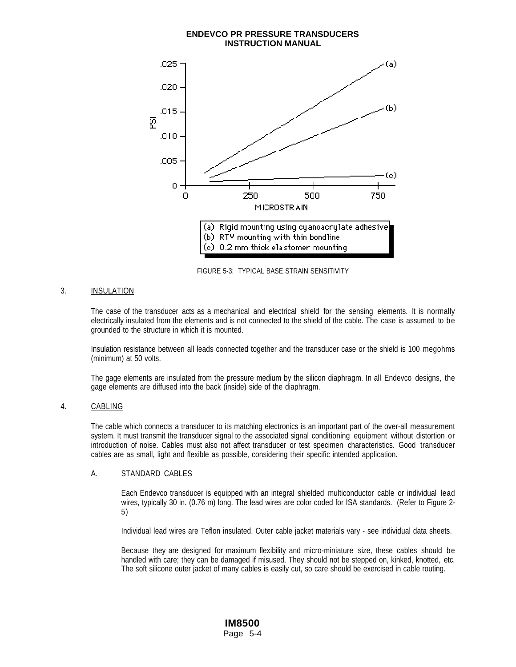## **INSTRUCTION MANUAL** .025 (a) .020 (Ь) .015 ø  $.010$ .005 (c) ο 0 250 500 750 MICROSTRAIN (a) Rigid mounting using cyanoacrylate adhesive (b) RTV mounting with thin bondline (c) 0.2 mm thick elastomer mounting

**ENDEVCO PR PRESSURE TRANSDUCERS**

FIGURE 5-3: TYPICAL BASE STRAIN SENSITIVITY

## 3. INSULATION

The case of the transducer acts as a mechanical and electrical shield for the sensing elements. It is normally electrically insulated from the elements and is not connected to the shield of the cable. The case is assumed to be grounded to the structure in which it is mounted.

Insulation resistance between all leads connected together and the transducer case or the shield is 100 megohms (minimum) at 50 volts.

The gage elements are insulated from the pressure medium by the silicon diaphragm. In all Endevco designs, the gage elements are diffused into the back (inside) side of the diaphragm.

## 4. CABLING

The cable which connects a transducer to its matching electronics is an important part of the over-all measurement system. It must transmit the transducer signal to the associated signal conditioning equipment without distortion or introduction of noise. Cables must also not affect transducer or test specimen characteristics. Good transducer cables are as small, light and flexible as possible, considering their specific intended application.

## A. STANDARD CABLES

Each Endevco transducer is equipped with an integral shielded multiconductor cable or individual lead wires, typically 30 in. (0.76 m) long. The lead wires are color coded for ISA standards. (Refer to Figure 2- 5)

Individual lead wires are Teflon insulated. Outer cable jacket materials vary - see individual data sheets.

Because they are designed for maximum flexibility and micro-miniature size, these cables should be handled with care; they can be damaged if misused. They should not be stepped on, kinked, knotted, etc. The soft silicone outer jacket of many cables is easily cut, so care should be exercised in cable routing.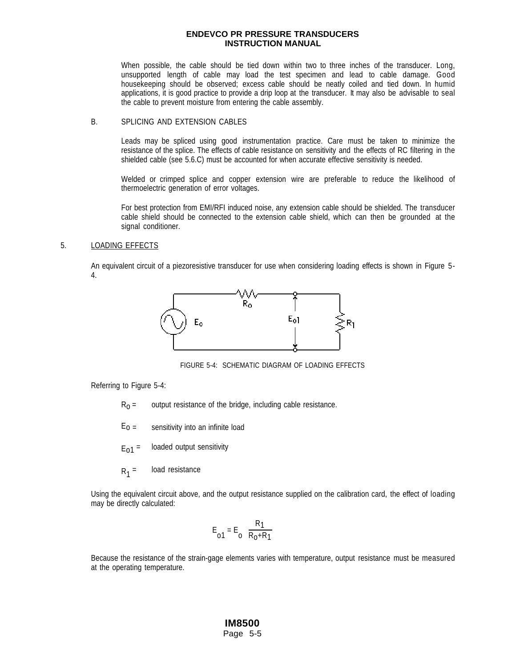When possible, the cable should be tied down within two to three inches of the transducer. Long, unsupported length of cable may load the test specimen and lead to cable damage. Good housekeeping should be observed; excess cable should be neatly coiled and tied down. In humid applications, it is good practice to provide a drip loop at the transducer. It may also be advisable to seal the cable to prevent moisture from entering the cable assembly.

## B. SPLICING AND EXTENSION CABLES

Leads may be spliced using good instrumentation practice. Care must be taken to minimize the resistance of the splice. The effects of cable resistance on sensitivity and the effects of RC filtering in the shielded cable (see 5.6.C) must be accounted for when accurate effective sensitivity is needed.

Welded or crimped splice and copper extension wire are preferable to reduce the likelihood of thermoelectric generation of error voltages.

For best protection from EMI/RFI induced noise, any extension cable should be shielded. The transducer cable shield should be connected to the extension cable shield, which can then be grounded at the signal conditioner.

#### 5. LOADING EFFECTS

An equivalent circuit of a piezoresistive transducer for use when considering loading effects is shown in Figure 5- 4.



FIGURE 5-4: SCHEMATIC DIAGRAM OF LOADING EFFECTS

Referring to Figure 5-4:

- $R_0$  = output resistance of the bridge, including cable resistance.
- $E_0$  = sensitivity into an infinite load
- $E_{01}$  = loaded output sensitivity
- $R_1$  = load resistance

Using the equivalent circuit above, and the output resistance supplied on the calibration card, the effect of loading may be directly calculated:

$$
E_{01} = E_0 \left(\frac{R_1}{R_0 + R_1}\right)
$$

Because the resistance of the strain-gage elements varies with temperature, output resistance must be measured at the operating temperature.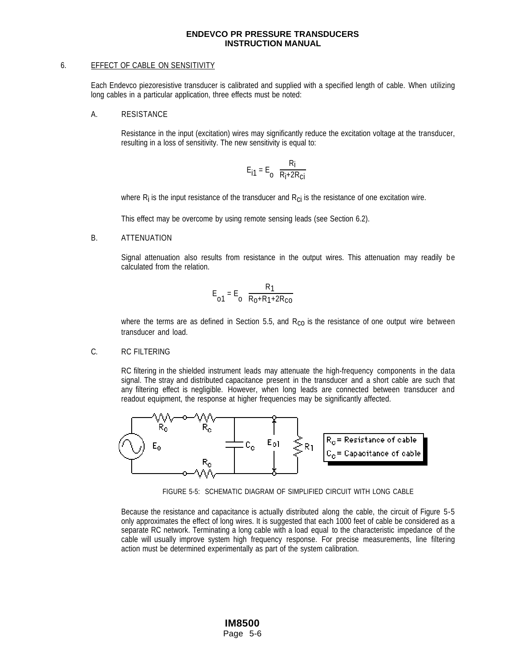#### 6. EFFECT OF CABLE ON SENSITIVITY

Each Endevco piezoresistive transducer is calibrated and supplied with a specified length of cable. When utilizing long cables in a particular application, three effects must be noted:

A. RESISTANCE

Resistance in the input (excitation) wires may significantly reduce the excitation voltage at the transducer, resulting in a loss of sensitivity. The new sensitivity is equal to:

$$
E_{i1} = E_o \left( \frac{R_i}{R_i + 2R_{ci}} \right)
$$

where  $R_i$  is the input resistance of the transducer and  $R_{ci}$  is the resistance of one excitation wire.

This effect may be overcome by using remote sensing leads (see Section 6.2).

B. ATTENUATION

Signal attenuation also results from resistance in the output wires. This attenuation may readily be calculated from the relation.

$$
E_{o1} = E_o \left( \frac{R_1}{R_0 + R_1 + 2R_{co}} \right)
$$

where the terms are as defined in Section 5.5, and  $R_{\rm CO}$  is the resistance of one output wire between transducer and load.

C. RC FILTERING

RC filtering in the shielded instrument leads may attenuate the high-frequency components in the data signal. The stray and distributed capacitance present in the transducer and a short cable are such that any filtering effect is negligible. However, when long leads are connected between transducer and readout equipment, the response at higher frequencies may be significantly affected.



FIGURE 5-5: SCHEMATIC DIAGRAM OF SIMPLIFIED CIRCUIT WITH LONG CABLE

Because the resistance and capacitance is actually distributed along the cable, the circuit of Figure 5-5 only approximates the effect of long wires. It is suggested that each 1000 feet of cable be considered as a separate RC network. Terminating a long cable with a load equal to the characteristic impedance of the cable will usually improve system high frequency response. For precise measurements, line filtering action must be determined experimentally as part of the system calibration.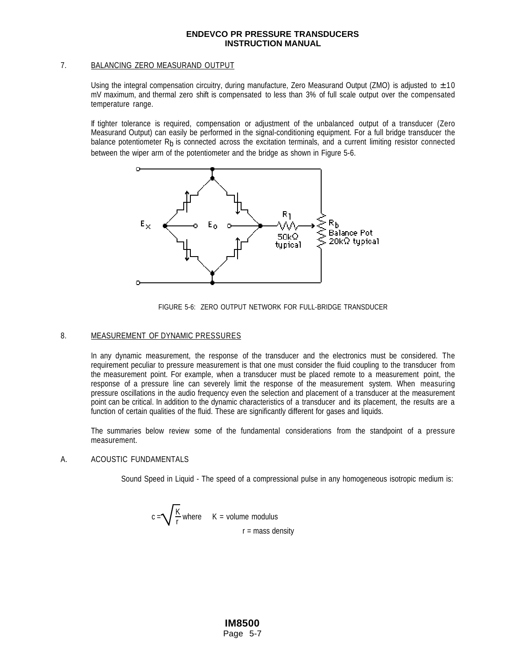## 7. BALANCING ZERO MEASURAND OUTPUT

Using the integral compensation circuitry, during manufacture, Zero Measurand Output (ZMO) is adjusted to  $\pm 10$ mV maximum, and thermal zero shift is compensated to less than 3% of full scale output over the compensated temperature range.

If tighter tolerance is required, compensation or adjustment of the unbalanced output of a transducer (Zero Measurand Output) can easily be performed in the signal-conditioning equipment. For a full bridge transducer the balance potentiometer R<sub>b</sub> is connected across the excitation terminals, and a current limiting resistor connected between the wiper arm of the potentiometer and the bridge as shown in Figure 5-6.





#### 8. MEASUREMENT OF DYNAMIC PRESSURES

In any dynamic measurement, the response of the transducer and the electronics must be considered. The requirement peculiar to pressure measurement is that one must consider the fluid coupling to the transducer from the measurement point. For example, when a transducer must be placed remote to a measurement point, the response of a pressure line can severely limit the response of the measurement system. When measuring pressure oscillations in the audio frequency even the selection and placement of a transducer at the measurement point can be critical. In addition to the dynamic characteristics of a transducer and its placement, the results are a function of certain qualities of the fluid. These are significantly different for gases and liquids.

The summaries below review some of the fundamental considerations from the standpoint of a pressure measurement.

## A. ACOUSTIC FUNDAMENTALS

Sound Speed in Liquid - The speed of a compressional pulse in any homogeneous isotropic medium is:

$$
c = \sqrt{\frac{K}{r}}
$$
 where  $K =$  volume modulus  
 $r =$  mass density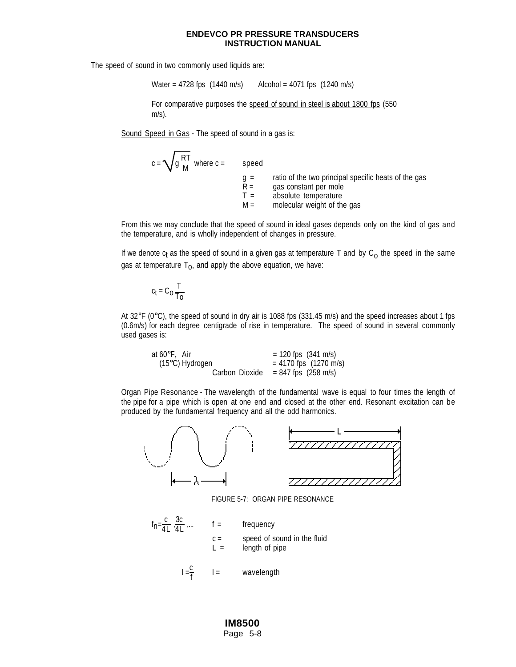The speed of sound in two commonly used liquids are:

Water = 4728 fps  $(1440 \text{ m/s})$  Alcohol = 4071 fps  $(1240 \text{ m/s})$ 

For comparative purposes the speed of sound in steel is about 1800 fps (550 m/s).

Sound Speed in Gas - The speed of sound in a gas is:

| $\sqrt{g\frac{\mathsf{RT}}{\mathsf{M}}}$ where c = | speed                            |                                                                                                                                      |
|----------------------------------------------------|----------------------------------|--------------------------------------------------------------------------------------------------------------------------------------|
|                                                    | $a =$<br>$R =$<br>$T =$<br>$M =$ | ratio of the two principal specific heats of the gas<br>gas constant per mole<br>absolute temperature<br>molecular weight of the gas |

From this we may conclude that the speed of sound in ideal gases depends only on the kind of gas and the temperature, and is wholly independent of changes in pressure.

If we denote  $c_t$  as the speed of sound in a given gas at temperature T and by  $C_0$  the speed in the same gas at temperature  $T_0$ , and apply the above equation, we have:

$$
c_t = C_0 \frac{T}{T_0}
$$

 $c =$ 

At 32°F (0°C), the speed of sound in dry air is 1088 fps (331.45 m/s) and the speed increases about 1 fps (0.6m/s) for each degree centigrade of rise in temperature. The speed of sound in several commonly used gases is:

at 60°F, Air = 120 fps (341 m/s)<br>(15°C) Hydrogen = 4170 fps (1270 m  $= 4170$  fps (1270 m/s) Carbon Dioxide  $= 847$  fps (258 m/s)

 Organ Pipe Resonance - The wavelength of the fundamental wave is equal to four times the length of the pipe for a pipe which is open at one end and closed at the other end. Resonant excitation can be produced by the fundamental frequency and all the odd harmonics.



FIGURE 5-7: ORGAN PIPE RESONANCE

 $f_n = \frac{c}{4L} \frac{3c}{4L}$  $f =$  frequency  $c =$  speed of sound in the fluid  $L =$  length of pipe  $l = \frac{c}{f}$ l = wavelength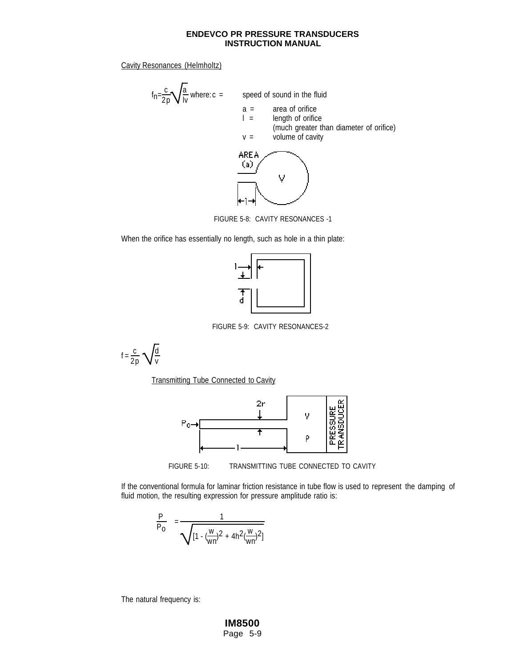Cavity Resonances (Helmholtz)

$$
f_{n} = \frac{c}{2p} \sqrt{\frac{a}{iv}}
$$
 where: c = speed of sound in the fluid  
a = area of orifice  
1 = length of orifice  
(much greater than diameter of orifice)  
v = volume of cavity



FIGURE 5-8: CAVITY RESONANCES -1

When the orifice has essentially no length, such as hole in a thin plate:



FIGURE 5-9: CAVITY RESONANCES-2

 $f = \frac{c}{2p} \sqrt{\frac{d}{v}}$ 

**Transmitting Tube Connected to Cavity** 





If the conventional formula for laminar friction resistance in tube flow is used to represent the damping of fluid motion, the resulting expression for pressure amplitude ratio is:

$$
\left|\frac{P}{P_0}\right| = \frac{1}{\sqrt{[1 - (\frac{W}{wn})^2 + 4h^2(\frac{W}{wn})^2]}}
$$

The natural frequency is: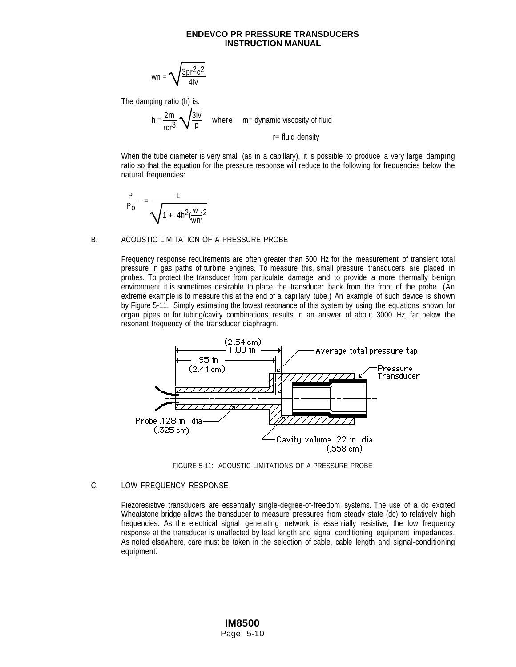$$
wn = \sqrt{\frac{3pr^2c^2}{4lv}}
$$

The damping ratio (h) is:

 $h = \frac{2m}{2}$ rcr3  $\sqrt{\frac{3\mathrm{lv}}{2}}$ p where m= dynamic viscosity of fluid

r= fluid density

When the tube diameter is very small (as in a capillary), it is possible to produce a very large damping ratio so that the equation for the pressure response will reduce to the following for frequencies below the natural frequencies:

$$
\left|\frac{P}{P_0}\right| = \frac{1}{\sqrt{1 + 4h^2(\frac{w}{wn})^2}}
$$

#### B. ACOUSTIC LIMITATION OF A PRESSURE PROBE

Frequency response requirements are often greater than 500 Hz for the measurement of transient total pressure in gas paths of turbine engines. To measure this, small pressure transducers are placed in probes. To protect the transducer from particulate damage and to provide a more thermally benign environment it is sometimes desirable to place the transducer back from the front of the probe. (An extreme example is to measure this at the end of a capillary tube.) An example of such device is shown by Figure 5-11. Simply estimating the lowest resonance of this system by using the equations shown for organ pipes or for tubing/cavity combinations results in an answer of about 3000 Hz, far below the resonant frequency of the transducer diaphragm.



FIGURE 5-11: ACOUSTIC LIMITATIONS OF A PRESSURE PROBE

## C. LOW FREQUENCY RESPONSE

Piezoresistive transducers are essentially single-degree-of-freedom systems. The use of a dc excited Wheatstone bridge allows the transducer to measure pressures from steady state (dc) to relatively high frequencies. As the electrical signal generating network is essentially resistive, the low frequency response at the transducer is unaffected by lead length and signal conditioning equipment impedances. As noted elsewhere, care must be taken in the selection of cable, cable length and signal-conditioning equipment.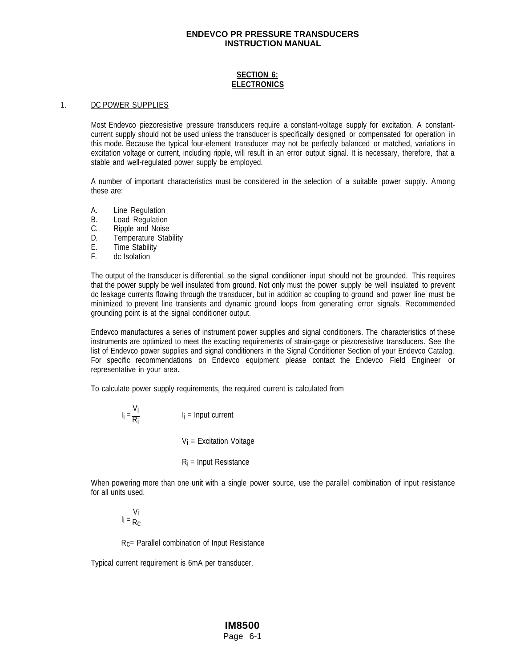## **SECTION 6: ELECTRONICS**

#### 1. DC POWER SUPPLIES

Most Endevco piezoresistive pressure transducers require a constant-voltage supply for excitation. A constantcurrent supply should not be used unless the transducer is specifically designed or compensated for operation in this mode. Because the typical four-element transducer may not be perfectly balanced or matched, variations in excitation voltage or current, including ripple, will result in an error output signal. It is necessary, therefore, that a stable and well-regulated power supply be employed.

A number of important characteristics must be considered in the selection of a suitable power supply. Among these are:

- A. Line Regulation
- B. Load Regulation
- C. Ripple and Noise
- D. Temperature Stability
- E. Time Stability
- F. dc Isolation

The output of the transducer is differential, so the signal conditioner input should not be grounded. This requires that the power supply be well insulated from ground. Not only must the power supply be well insulated to prevent dc leakage currents flowing through the transducer, but in addition ac coupling to ground and power line must be minimized to prevent line transients and dynamic ground loops from generating error signals. Recommended grounding point is at the signal conditioner output.

Endevco manufactures a series of instrument power supplies and signal conditioners. The characteristics of these instruments are optimized to meet the exacting requirements of strain-gage or piezoresistive transducers. See the list of Endevco power supplies and signal conditioners in the Signal Conditioner Section of your Endevco Catalog. For specific recommendations on Endevco equipment please contact the Endevco Field Engineer or representative in your area.

To calculate power supply requirements, the required current is calculated from

$$
I_{i} = \frac{V_{i}}{R_{i}}
$$
  
\n
$$
I_{i} = Input current
$$
  
\n
$$
V_{i} = Excitation Voltage
$$
  
\n
$$
R_{i} = Input Resistance
$$

When powering more than one unit with a single power source, use the parallel combination of input resistance for all units used.

# ۷<sub>i</sub><br>li = <sub>Rc</sub>

Rc= Parallel combination of Input Resistance

Typical current requirement is 6mA per transducer.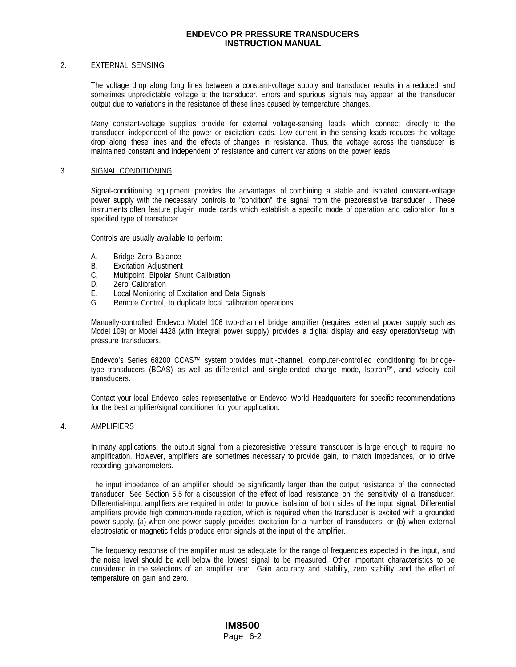#### 2. EXTERNAL SENSING

The voltage drop along long lines between a constant-voltage supply and transducer results in a reduced and sometimes unpredictable voltage at the transducer. Errors and spurious signals may appear at the transducer output due to variations in the resistance of these lines caused by temperature changes.

Many constant-voltage supplies provide for external voltage-sensing leads which connect directly to the transducer, independent of the power or excitation leads. Low current in the sensing leads reduces the voltage drop along these lines and the effects of changes in resistance. Thus, the voltage across the transducer is maintained constant and independent of resistance and current variations on the power leads.

#### 3. SIGNAL CONDITIONING

Signal-conditioning equipment provides the advantages of combining a stable and isolated constant-voltage power supply with the necessary controls to "condition" the signal from the piezoresistive transducer . These instruments often feature plug-in mode cards which establish a specific mode of operation and calibration for a specified type of transducer.

Controls are usually available to perform:

- A. Bridge Zero Balance
- B. Excitation Adjustment
- C. Multipoint, Bipolar Shunt Calibration
- D. Zero Calibration
- E. Local Monitoring of Excitation and Data Signals
- G. Remote Control, to duplicate local calibration operations

Manually-controlled Endevco Model 106 two-channel bridge amplifier (requires external power supply such as Model 109) or Model 4428 (with integral power supply) provides a digital display and easy operation/setup with pressure transducers.

Endevco's Series 68200 CCAS™ system provides multi-channel, computer-controlled conditioning for bridgetype transducers (BCAS) as well as differential and single-ended charge mode, Isotron™, and velocity coil transducers.

Contact your local Endevco sales representative or Endevco World Headquarters for specific recommendations for the best amplifier/signal conditioner for your application.

#### 4. AMPLIFIERS

In many applications, the output signal from a piezoresistive pressure transducer is large enough to require no amplification. However, amplifiers are sometimes necessary to provide gain, to match impedances, or to drive recording galvanometers.

The input impedance of an amplifier should be significantly larger than the output resistance of the connected transducer. See Section 5.5 for a discussion of the effect of load resistance on the sensitivity of a transducer. Differential-input amplifiers are required in order to provide isolation of both sides of the input signal. Differential amplifiers provide high common-mode rejection, which is required when the transducer is excited with a grounded power supply, (a) when one power supply provides excitation for a number of transducers, or (b) when external electrostatic or magnetic fields produce error signals at the input of the amplifier.

The frequency response of the amplifier must be adequate for the range of frequencies expected in the input, and the noise level should be well below the lowest signal to be measured. Other important characteristics to be considered in the selections of an amplifier are: Gain accuracy and stability, zero stability, and the effect of temperature on gain and zero.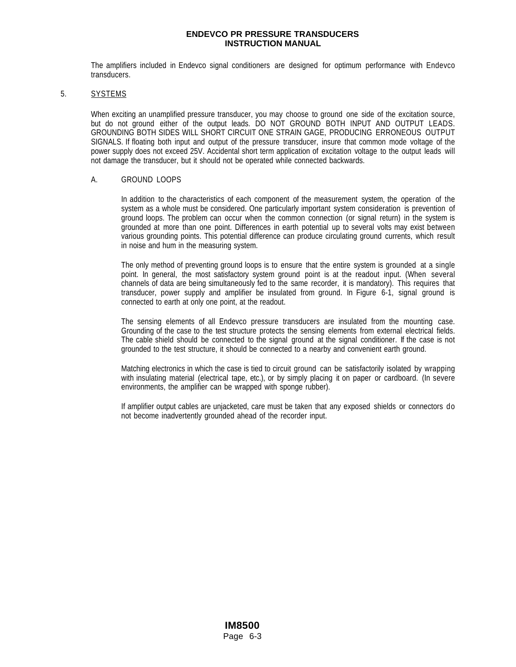The amplifiers included in Endevco signal conditioners are designed for optimum performance with Endevco transducers.

#### 5. SYSTEMS

When exciting an unamplified pressure transducer, you may choose to ground one side of the excitation source, but do not ground either of the output leads. DO NOT GROUND BOTH INPUT AND OUTPUT LEADS. GROUNDING BOTH SIDES WILL SHORT CIRCUIT ONE STRAIN GAGE, PRODUCING ERRONEOUS OUTPUT SIGNALS. If floating both input and output of the pressure transducer, insure that common mode voltage of the power supply does not exceed 25V. Accidental short term application of excitation voltage to the output leads will not damage the transducer, but it should not be operated while connected backwards.

#### A. GROUND LOOPS

In addition to the characteristics of each component of the measurement system, the operation of the system as a whole must be considered. One particularly important system consideration is prevention of ground loops. The problem can occur when the common connection (or signal return) in the system is grounded at more than one point. Differences in earth potential up to several volts may exist between various grounding points. This potential difference can produce circulating ground currents, which result in noise and hum in the measuring system.

The only method of preventing ground loops is to ensure that the entire system is grounded at a single point. In general, the most satisfactory system ground point is at the readout input. (When several channels of data are being simultaneously fed to the same recorder, it is mandatory). This requires that transducer, power supply and amplifier be insulated from ground. In Figure 6-1, signal ground is connected to earth at only one point, at the readout.

The sensing elements of all Endevco pressure transducers are insulated from the mounting case. Grounding of the case to the test structure protects the sensing elements from external electrical fields. The cable shield should be connected to the signal ground at the signal conditioner. If the case is not grounded to the test structure, it should be connected to a nearby and convenient earth ground.

Matching electronics in which the case is tied to circuit ground can be satisfactorily isolated by wrapping with insulating material (electrical tape, etc.), or by simply placing it on paper or cardboard. (In severe environments, the amplifier can be wrapped with sponge rubber).

If amplifier output cables are unjacketed, care must be taken that any exposed shields or connectors do not become inadvertently grounded ahead of the recorder input.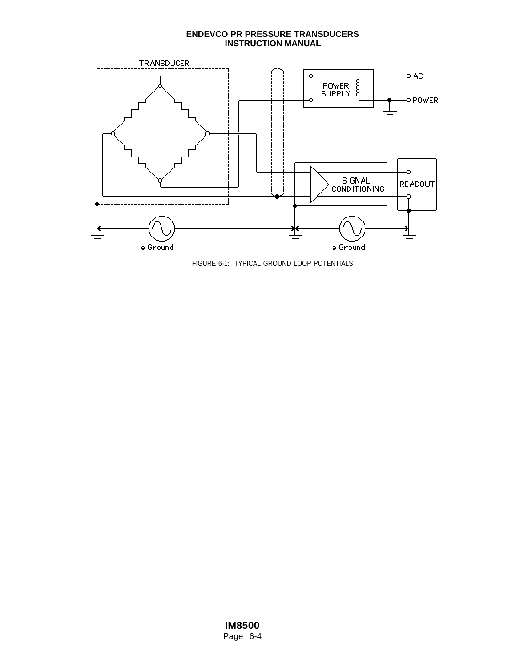

FIGURE 6-1: TYPICAL GROUND LOOP POTENTIALS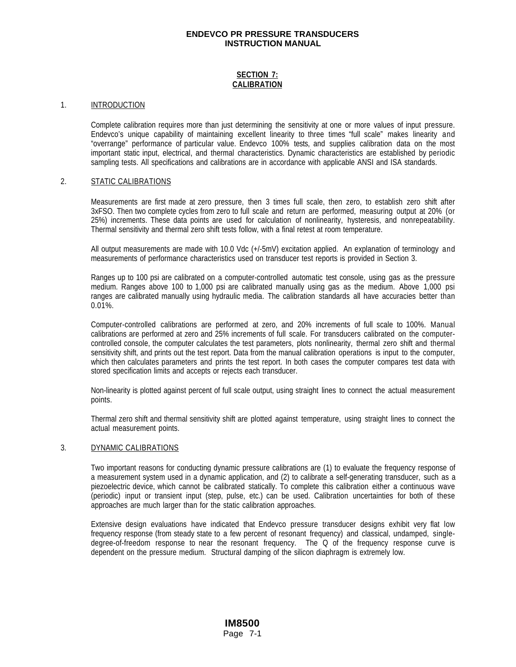## **SECTION 7: CALIBRATION**

#### 1. INTRODUCTION

Complete calibration requires more than just determining the sensitivity at one or more values of input pressure. Endevco's unique capability of maintaining excellent linearity to three times "full scale" makes linearity and "overrange" performance of particular value. Endevco 100% tests, and supplies calibration data on the most important static input, electrical, and thermal characteristics. Dynamic characteristics are established by periodic sampling tests. All specifications and calibrations are in accordance with applicable ANSI and ISA standards.

#### 2. STATIC CALIBRATIONS

Measurements are first made at zero pressure, then 3 times full scale, then zero, to establish zero shift after 3xFSO. Then two complete cycles from zero to full scale and return are performed, measuring output at 20% (or 25%) increments. These data points are used for calculation of nonlinearity, hysteresis, and nonrepeatability. Thermal sensitivity and thermal zero shift tests follow, with a final retest at room temperature.

All output measurements are made with 10.0 Vdc (+/-5mV) excitation applied. An explanation of terminology and measurements of performance characteristics used on transducer test reports is provided in Section 3.

Ranges up to 100 psi are calibrated on a computer-controlled automatic test console, using gas as the pressure medium. Ranges above 100 to 1,000 psi are calibrated manually using gas as the medium. Above 1,000 psi ranges are calibrated manually using hydraulic media. The calibration standards all have accuracies better than 0.01%.

Computer-controlled calibrations are performed at zero, and 20% increments of full scale to 100%. Manual calibrations are performed at zero and 25% increments of full scale. For transducers calibrated on the computercontrolled console, the computer calculates the test parameters, plots nonlinearity, thermal zero shift and thermal sensitivity shift, and prints out the test report. Data from the manual calibration operations is input to the computer, which then calculates parameters and prints the test report. In both cases the computer compares test data with stored specification limits and accepts or rejects each transducer.

Non-linearity is plotted against percent of full scale output, using straight lines to connect the actual measurement points.

Thermal zero shift and thermal sensitivity shift are plotted against temperature, using straight lines to connect the actual measurement points.

#### 3. DYNAMIC CALIBRATIONS

Two important reasons for conducting dynamic pressure calibrations are (1) to evaluate the frequency response of a measurement system used in a dynamic application, and (2) to calibrate a self-generating transducer, such as a piezoelectric device, which cannot be calibrated statically. To complete this calibration either a continuous wave (periodic) input or transient input (step, pulse, etc.) can be used. Calibration uncertainties for both of these approaches are much larger than for the static calibration approaches.

Extensive design evaluations have indicated that Endevco pressure transducer designs exhibit very flat low frequency response (from steady state to a few percent of resonant frequency) and classical, undamped, singledegree-of-freedom response to near the resonant frequency. The Q of the frequency response curve is dependent on the pressure medium. Structural damping of the silicon diaphragm is extremely low.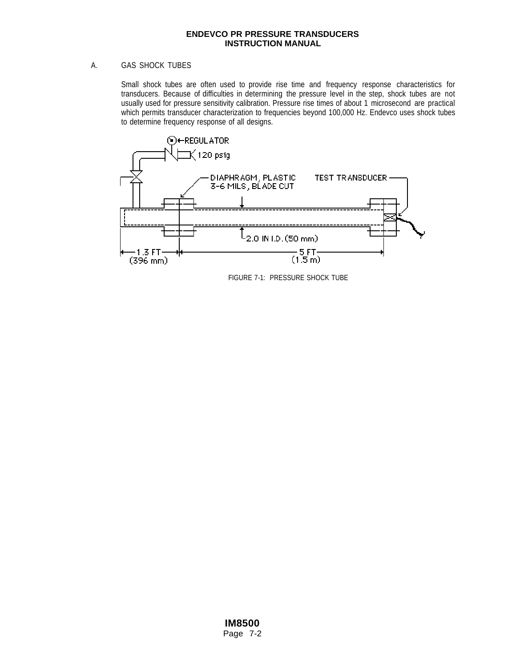## A. GAS SHOCK TUBES

Small shock tubes are often used to provide rise time and frequency response characteristics for transducers. Because of difficulties in determining the pressure level in the step, shock tubes are not usually used for pressure sensitivity calibration. Pressure rise times of about 1 microsecond are practical which permits transducer characterization to frequencies beyond 100,000 Hz. Endevco uses shock tubes to determine frequency response of all designs.



FIGURE 7-1: PRESSURE SHOCK TUBE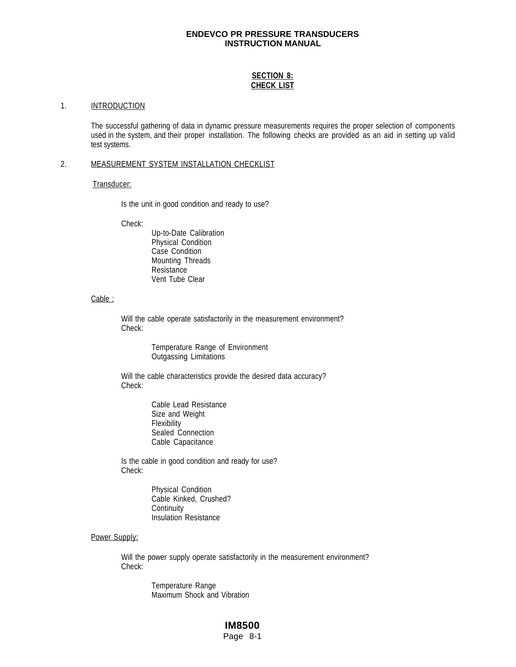## **SECTION 8: CHECK LIST**

#### 1. **INTRODUCTION**

The successful gathering of data in dynamic pressure measurements requires the proper selection of components used in the system, and their proper installation. The following checks are provided as an aid in setting up valid test systems.

## 2. MEASUREMENT SYSTEM INSTALLATION CHECKLIST

#### Transducer:

Is the unit in good condition and ready to use?

Check:

Up-to-Date Calibration Physical Condition Case Condition Mounting Threads Resistance Vent Tube Clear

#### Cable :

Will the cable operate satisfactorily in the measurement environment? Check:

> Temperature Range of Environment Outgassing Limitations

Will the cable characteristics provide the desired data accuracy? Check:

> Cable Lead Resistance Size and Weight **Flexibility** Sealed Connection Cable Capacitance

Is the cable in good condition and ready for use? Check:

> Physical Condition Cable Kinked, Crushed? **Continuity** Insulation Resistance

## Power Supply:

Will the power supply operate satisfactorily in the measurement environment? Check:

> Temperature Range Maximum Shock and Vibration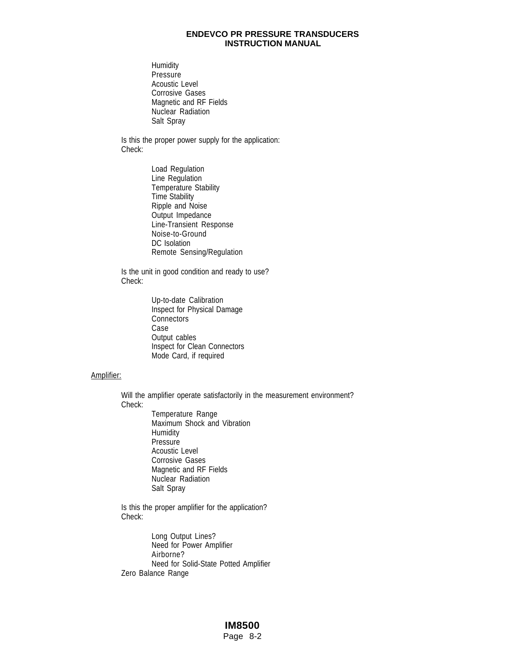**Humidity Pressure** Acoustic Level Corrosive Gases Magnetic and RF Fields Nuclear Radiation Salt Spray

Is this the proper power supply for the application: Check:

> Load Regulation Line Regulation Temperature Stability Time Stability Ripple and Noise Output Impedance Line-Transient Response Noise-to-Ground DC Isolation Remote Sensing/Regulation

Is the unit in good condition and ready to use? Check:

> Up-to-date Calibration Inspect for Physical Damage **Connectors** Case Output cables Inspect for Clean Connectors Mode Card, if required

## Amplifier:

Will the amplifier operate satisfactorily in the measurement environment? Check:

Temperature Range Maximum Shock and Vibration **Humidity** Pressure Acoustic Level Corrosive Gases Magnetic and RF Fields Nuclear Radiation Salt Spray

Is this the proper amplifier for the application? Check:

Long Output Lines? Need for Power Amplifier Airborne? Need for Solid-State Potted Amplifier Zero Balance Range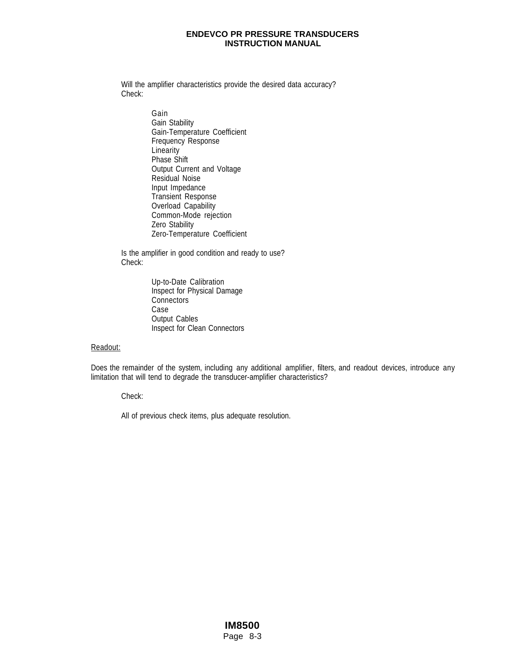Will the amplifier characteristics provide the desired data accuracy? Check:

> Gain Gain Stability Gain-Temperature Coefficient Frequency Response **Linearity** Phase Shift Output Current and Voltage Residual Noise Input Impedance Transient Response Overload Capability Common-Mode rejection Zero Stability Zero-Temperature Coefficient

Is the amplifier in good condition and ready to use? Check:

> Up-to-Date Calibration Inspect for Physical Damage **Connectors** Case Output Cables Inspect for Clean Connectors

Readout:

Does the remainder of the system, including any additional amplifier, filters, and readout devices, introduce any limitation that will tend to degrade the transducer-amplifier characteristics?

Check:

All of previous check items, plus adequate resolution.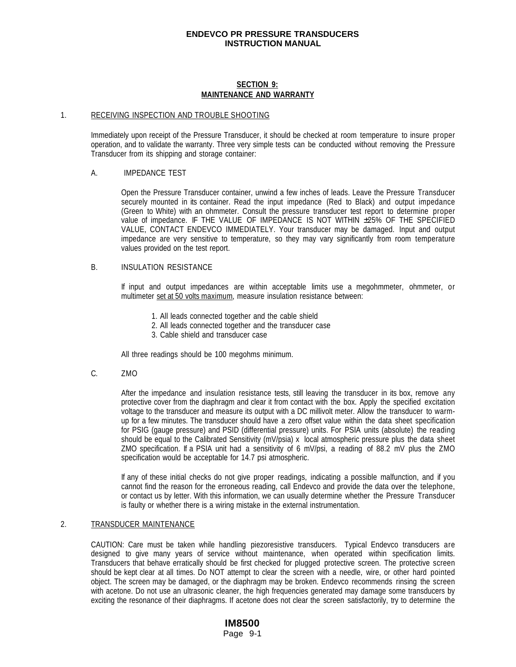## **SECTION 9: MAINTENANCE AND WARRANTY**

#### 1. RECEIVING INSPECTION AND TROUBLE SHOOTING

Immediately upon receipt of the Pressure Transducer, it should be checked at room temperature to insure proper operation, and to validate the warranty. Three very simple tests can be conducted without removing the Pressure Transducer from its shipping and storage container:

#### A. IMPEDANCE TEST

Open the Pressure Transducer container, unwind a few inches of leads. Leave the Pressure Transducer securely mounted in its container. Read the input impedance (Red to Black) and output impedance (Green to White) with an ohmmeter. Consult the pressure transducer test report to determine proper value of impedance. IF THE VALUE OF IMPEDANCE IS NOT WITHIN ±25% OF THE SPECIFIED VALUE, CONTACT ENDEVCO IMMEDIATELY. Your transducer may be damaged. Input and output impedance are very sensitive to temperature, so they may vary significantly from room temperature values provided on the test report.

#### B. INSULATION RESISTANCE

If input and output impedances are within acceptable limits use a megohmmeter, ohmmeter, or multimeter set at 50 volts maximum, measure insulation resistance between:

- 1. All leads connected together and the cable shield
- 2. All leads connected together and the transducer case
- 3. Cable shield and transducer case

All three readings should be 100 megohms minimum.

C. ZMO

After the impedance and insulation resistance tests, still leaving the transducer in its box, remove any protective cover from the diaphragm and clear it from contact with the box. Apply the specified excitation voltage to the transducer and measure its output with a DC millivolt meter. Allow the transducer to warmup for a few minutes. The transducer should have a zero offset value within the data sheet specification for PSIG (gauge pressure) and PSID (differential pressure) units. For PSIA units (absolute) the reading should be equal to the Calibrated Sensitivity (mV/psia) x local atmospheric pressure plus the data sheet ZMO specification. If a PSIA unit had a sensitivity of 6 mV/psi, a reading of 88.2 mV plus the ZMO specification would be acceptable for 14.7 psi atmospheric.

If any of these initial checks do not give proper readings, indicating a possible malfunction, and if you cannot find the reason for the erroneous reading, call Endevco and provide the data over the telephone, or contact us by letter. With this information, we can usually determine whether the Pressure Transducer is faulty or whether there is a wiring mistake in the external instrumentation.

#### 2. TRANSDUCER MAINTENANCE

CAUTION: Care must be taken while handling piezoresistive transducers. Typical Endevco transducers are designed to give many years of service without maintenance, when operated within specification limits. Transducers that behave erratically should be first checked for plugged protective screen. The protective screen should be kept clear at all times. Do NOT attempt to clear the screen with a needle, wire, or other hard pointed object. The screen may be damaged, or the diaphragm may be broken. Endevco recommends rinsing the screen with acetone. Do not use an ultrasonic cleaner, the high frequencies generated may damage some transducers by exciting the resonance of their diaphragms. If acetone does not clear the screen satisfactorily, try to determine the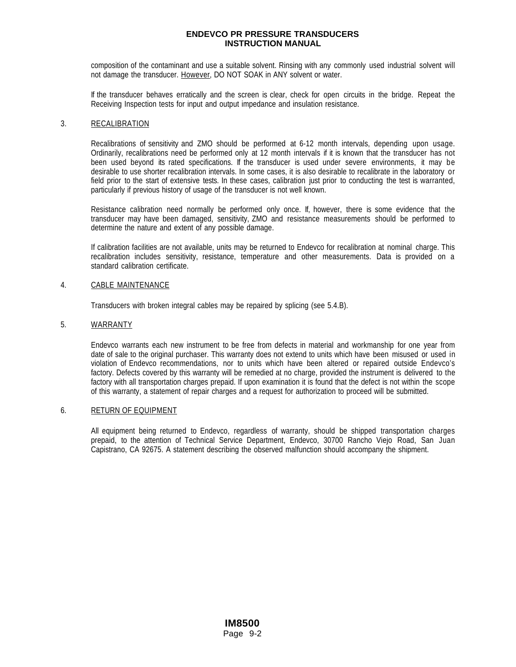composition of the contaminant and use a suitable solvent. Rinsing with any commonly used industrial solvent will not damage the transducer. However, DO NOT SOAK in ANY solvent or water.

If the transducer behaves erratically and the screen is clear, check for open circuits in the bridge. Repeat the Receiving Inspection tests for input and output impedance and insulation resistance.

#### 3. RECALIBRATION

Recalibrations of sensitivity and ZMO should be performed at 6-12 month intervals, depending upon usage. Ordinarily, recalibrations need be performed only at 12 month intervals if it is known that the transducer has not been used beyond its rated specifications. If the transducer is used under severe environments, it may be desirable to use shorter recalibration intervals. In some cases, it is also desirable to recalibrate in the laboratory or field prior to the start of extensive tests. In these cases, calibration just prior to conducting the test is warranted, particularly if previous history of usage of the transducer is not well known.

Resistance calibration need normally be performed only once. If, however, there is some evidence that the transducer may have been damaged, sensitivity, ZMO and resistance measurements should be performed to determine the nature and extent of any possible damage.

If calibration facilities are not available, units may be returned to Endevco for recalibration at nominal charge. This recalibration includes sensitivity, resistance, temperature and other measurements. Data is provided on a standard calibration certificate.

## 4. CABLE MAINTENANCE

Transducers with broken integral cables may be repaired by splicing (see 5.4.B).

#### 5. WARRANTY

Endevco warrants each new instrument to be free from defects in material and workmanship for one year from date of sale to the original purchaser. This warranty does not extend to units which have been misused or used in violation of Endevco recommendations, nor to units which have been altered or repaired outside Endevco's factory. Defects covered by this warranty will be remedied at no charge, provided the instrument is delivered to the factory with all transportation charges prepaid. If upon examination it is found that the defect is not within the scope of this warranty, a statement of repair charges and a request for authorization to proceed will be submitted.

#### 6. RETURN OF EQUIPMENT

All equipment being returned to Endevco, regardless of warranty, should be shipped transportation charges prepaid, to the attention of Technical Service Department, Endevco, 30700 Rancho Viejo Road, San Juan Capistrano, CA 92675. A statement describing the observed malfunction should accompany the shipment.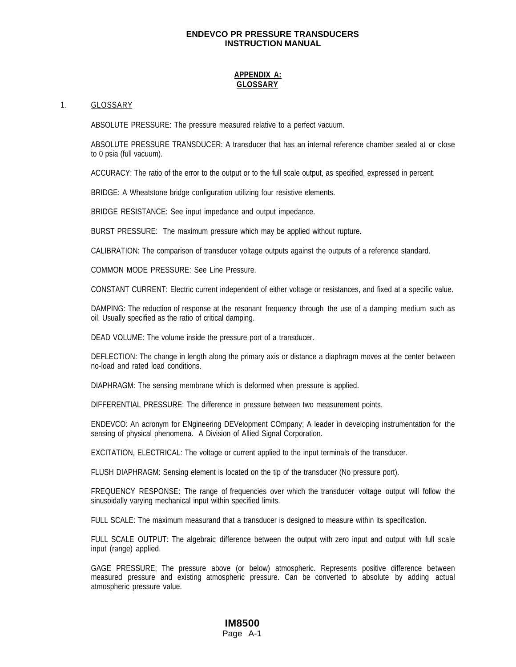## **APPENDIX A: GLOSSARY**

#### 1. GLOSSARY

ABSOLUTE PRESSURE: The pressure measured relative to a perfect vacuum.

ABSOLUTE PRESSURE TRANSDUCER: A transducer that has an internal reference chamber sealed at or close to 0 psia (full vacuum).

ACCURACY: The ratio of the error to the output or to the full scale output, as specified, expressed in percent.

BRIDGE: A Wheatstone bridge configuration utilizing four resistive elements.

BRIDGE RESISTANCE: See input impedance and output impedance.

BURST PRESSURE: The maximum pressure which may be applied without rupture.

CALIBRATION: The comparison of transducer voltage outputs against the outputs of a reference standard.

COMMON MODE PRESSURE: See Line Pressure.

CONSTANT CURRENT: Electric current independent of either voltage or resistances, and fixed at a specific value.

DAMPING: The reduction of response at the resonant frequency through the use of a damping medium such as oil. Usually specified as the ratio of critical damping.

DEAD VOLUME: The volume inside the pressure port of a transducer.

DEFLECTION: The change in length along the primary axis or distance a diaphragm moves at the center between no-load and rated load conditions.

DIAPHRAGM: The sensing membrane which is deformed when pressure is applied.

DIFFERENTIAL PRESSURE: The difference in pressure between two measurement points.

ENDEVCO: An acronym for ENgineering DEVelopment COmpany; A leader in developing instrumentation for the sensing of physical phenomena. A Division of Allied Signal Corporation.

EXCITATION, ELECTRICAL: The voltage or current applied to the input terminals of the transducer.

FLUSH DIAPHRAGM: Sensing element is located on the tip of the transducer (No pressure port).

FREQUENCY RESPONSE: The range of frequencies over which the transducer voltage output will follow the sinusoidally varying mechanical input within specified limits.

FULL SCALE: The maximum measurand that a transducer is designed to measure within its specification.

FULL SCALE OUTPUT: The algebraic difference between the output with zero input and output with full scale input (range) applied.

GAGE PRESSURE; The pressure above (or below) atmospheric. Represents positive difference between measured pressure and existing atmospheric pressure. Can be converted to absolute by adding actual atmospheric pressure value.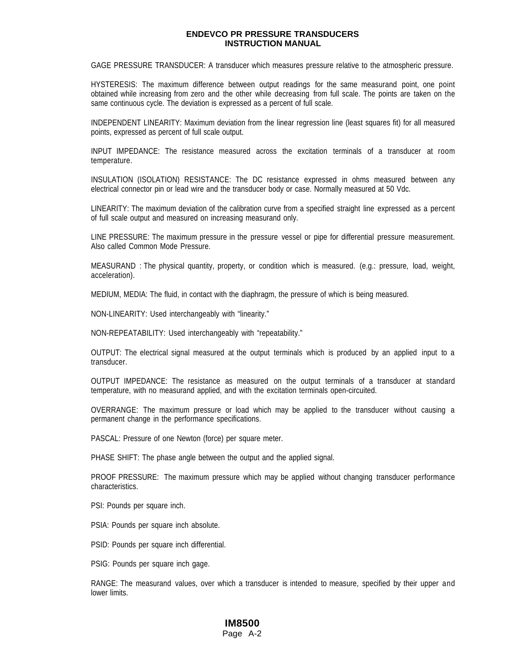GAGE PRESSURE TRANSDUCER: A transducer which measures pressure relative to the atmospheric pressure.

HYSTERESIS: The maximum difference between output readings for the same measurand point, one point obtained while increasing from zero and the other while decreasing from full scale. The points are taken on the same continuous cycle. The deviation is expressed as a percent of full scale.

INDEPENDENT LINEARITY: Maximum deviation from the linear regression line (least squares fit) for all measured points, expressed as percent of full scale output.

INPUT IMPEDANCE: The resistance measured across the excitation terminals of a transducer at room temperature.

INSULATION (ISOLATION) RESISTANCE: The DC resistance expressed in ohms measured between any electrical connector pin or lead wire and the transducer body or case. Normally measured at 50 Vdc.

LINEARITY: The maximum deviation of the calibration curve from a specified straight line expressed as a percent of full scale output and measured on increasing measurand only.

LINE PRESSURE: The maximum pressure in the pressure vessel or pipe for differential pressure measurement. Also called Common Mode Pressure.

MEASURAND : The physical quantity, property, or condition which is measured. (e.g.: pressure, load, weight, acceleration).

MEDIUM, MEDIA: The fluid, in contact with the diaphragm, the pressure of which is being measured.

NON-LINEARITY: Used interchangeably with "linearity."

NON-REPEATABILITY: Used interchangeably with "repeatability."

OUTPUT: The electrical signal measured at the output terminals which is produced by an applied input to a transducer.

OUTPUT IMPEDANCE: The resistance as measured on the output terminals of a transducer at standard temperature, with no measurand applied, and with the excitation terminals open-circuited.

OVERRANGE: The maximum pressure or load which may be applied to the transducer without causing a permanent change in the performance specifications.

PASCAL: Pressure of one Newton (force) per square meter.

PHASE SHIFT: The phase angle between the output and the applied signal.

PROOF PRESSURE: The maximum pressure which may be applied without changing transducer performance characteristics.

PSI: Pounds per square inch.

PSIA: Pounds per square inch absolute.

PSID: Pounds per square inch differential.

PSIG: Pounds per square inch gage.

RANGE: The measurand values, over which a transducer is intended to measure, specified by their upper and lower limits.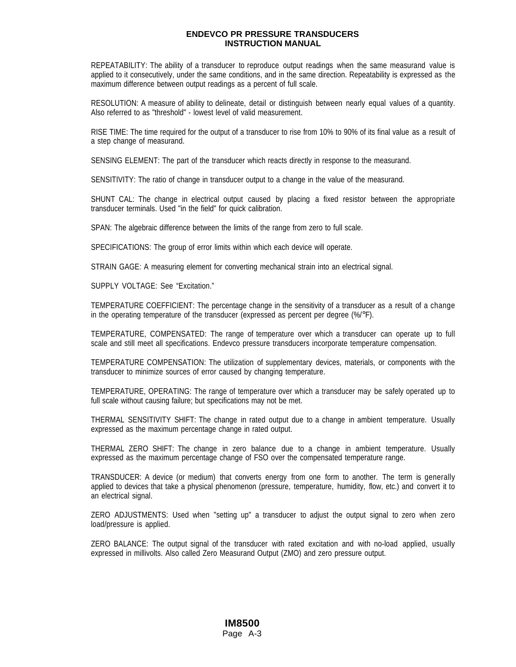REPEATABILITY: The ability of a transducer to reproduce output readings when the same measurand value is applied to it consecutively, under the same conditions, and in the same direction. Repeatability is expressed as the maximum difference between output readings as a percent of full scale.

RESOLUTION: A measure of ability to delineate, detail or distinguish between nearly equal values of a quantity. Also referred to as "threshold" - lowest level of valid measurement.

RISE TIME: The time required for the output of a transducer to rise from 10% to 90% of its final value as a result of a step change of measurand.

SENSING ELEMENT: The part of the transducer which reacts directly in response to the measurand.

SENSITIVITY: The ratio of change in transducer output to a change in the value of the measurand.

SHUNT CAL: The change in electrical output caused by placing a fixed resistor between the appropriate transducer terminals. Used "in the field" for quick calibration.

SPAN: The algebraic difference between the limits of the range from zero to full scale.

SPECIFICATIONS: The group of error limits within which each device will operate.

STRAIN GAGE: A measuring element for converting mechanical strain into an electrical signal.

SUPPLY VOLTAGE: See "Excitation."

TEMPERATURE COEFFICIENT: The percentage change in the sensitivity of a transducer as a result of a change in the operating temperature of the transducer (expressed as percent per degree (%/°F).

TEMPERATURE, COMPENSATED: The range of temperature over which a transducer can operate up to full scale and still meet all specifications. Endevco pressure transducers incorporate temperature compensation.

TEMPERATURE COMPENSATION: The utilization of supplementary devices, materials, or components with the transducer to minimize sources of error caused by changing temperature.

TEMPERATURE, OPERATING: The range of temperature over which a transducer may be safely operated up to full scale without causing failure; but specifications may not be met.

THERMAL SENSITIVITY SHIFT: The change in rated output due to a change in ambient temperature. Usually expressed as the maximum percentage change in rated output.

THERMAL ZERO SHIFT: The change in zero balance due to a change in ambient temperature. Usually expressed as the maximum percentage change of FSO over the compensated temperature range.

TRANSDUCER: A device (or medium) that converts energy from one form to another. The term is generally applied to devices that take a physical phenomenon (pressure, temperature, humidity, flow, etc.) and convert it to an electrical signal.

ZERO ADJUSTMENTS: Used when "setting up" a transducer to adjust the output signal to zero when zero load/pressure is applied.

ZERO BALANCE: The output signal of the transducer with rated excitation and with no-load applied, usually expressed in millivolts. Also called Zero Measurand Output (ZMO) and zero pressure output.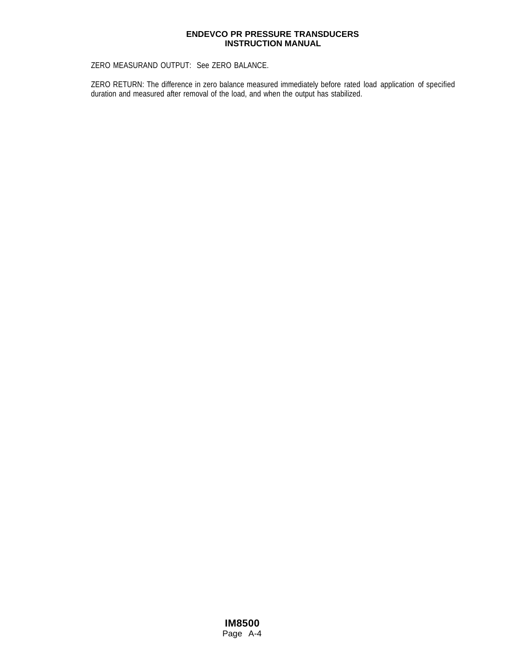ZERO MEASURAND OUTPUT: See ZERO BALANCE.

ZERO RETURN: The difference in zero balance measured immediately before rated load application of specified duration and measured after removal of the load, and when the output has stabilized.